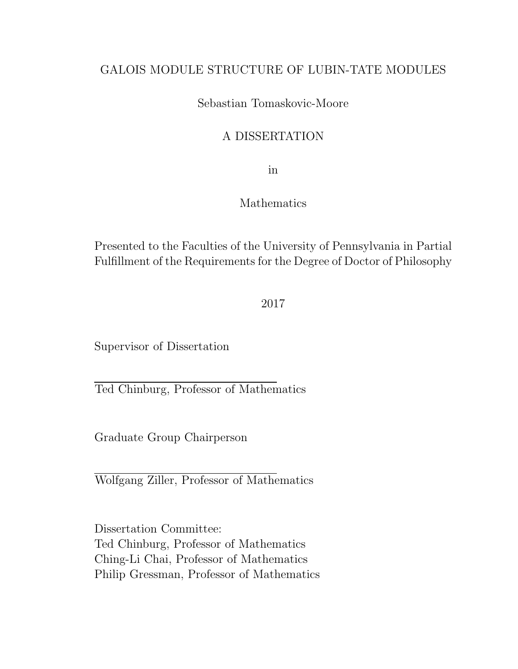#### GALOIS MODULE STRUCTURE OF LUBIN-TATE MODULES

#### Sebastian Tomaskovic-Moore

#### A DISSERTATION

in

#### Mathematics

Presented to the Faculties of the University of Pennsylvania in Partial Fulfillment of the Requirements for the Degree of Doctor of Philosophy

2017

Supervisor of Dissertation

Ted Chinburg, Professor of Mathematics

Graduate Group Chairperson

Wolfgang Ziller, Professor of Mathematics

Dissertation Committee: Ted Chinburg, Professor of Mathematics Ching-Li Chai, Professor of Mathematics Philip Gressman, Professor of Mathematics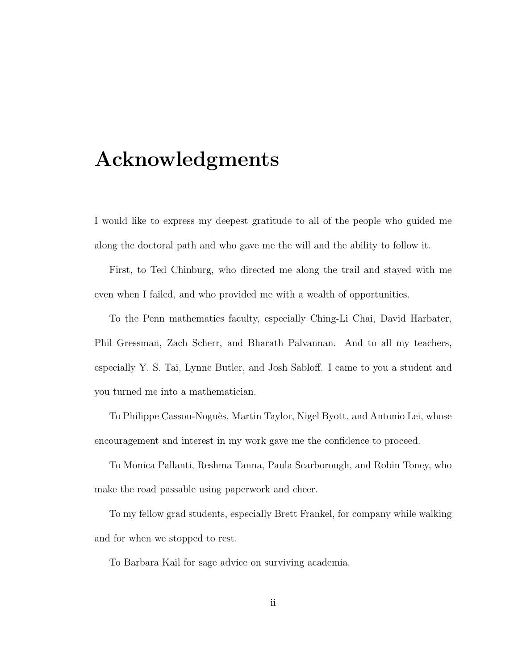### Acknowledgments

I would like to express my deepest gratitude to all of the people who guided me along the doctoral path and who gave me the will and the ability to follow it.

First, to Ted Chinburg, who directed me along the trail and stayed with me even when I failed, and who provided me with a wealth of opportunities.

To the Penn mathematics faculty, especially Ching-Li Chai, David Harbater, Phil Gressman, Zach Scherr, and Bharath Palvannan. And to all my teachers, especially Y. S. Tai, Lynne Butler, and Josh Sabloff. I came to you a student and you turned me into a mathematician.

To Philippe Cassou-Noguès, Martin Taylor, Nigel Byott, and Antonio Lei, whose encouragement and interest in my work gave me the confidence to proceed.

To Monica Pallanti, Reshma Tanna, Paula Scarborough, and Robin Toney, who make the road passable using paperwork and cheer.

To my fellow grad students, especially Brett Frankel, for company while walking and for when we stopped to rest.

To Barbara Kail for sage advice on surviving academia.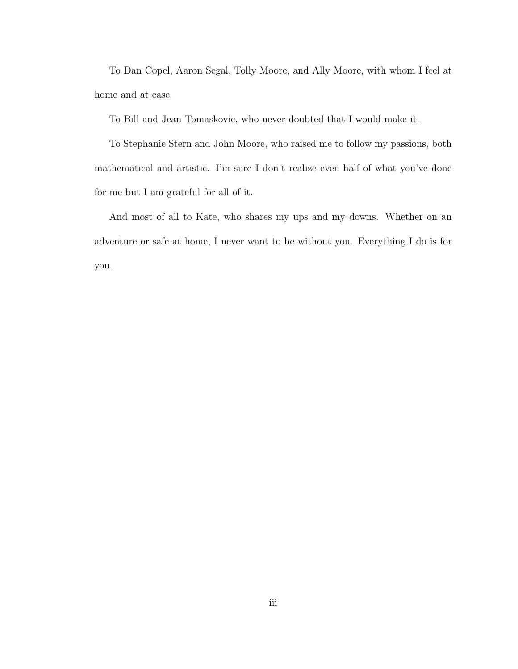To Dan Copel, Aaron Segal, Tolly Moore, and Ally Moore, with whom I feel at home and at ease.

To Bill and Jean Tomaskovic, who never doubted that I would make it.

To Stephanie Stern and John Moore, who raised me to follow my passions, both mathematical and artistic. I'm sure I don't realize even half of what you've done for me but I am grateful for all of it.

And most of all to Kate, who shares my ups and my downs. Whether on an adventure or safe at home, I never want to be without you. Everything I do is for you.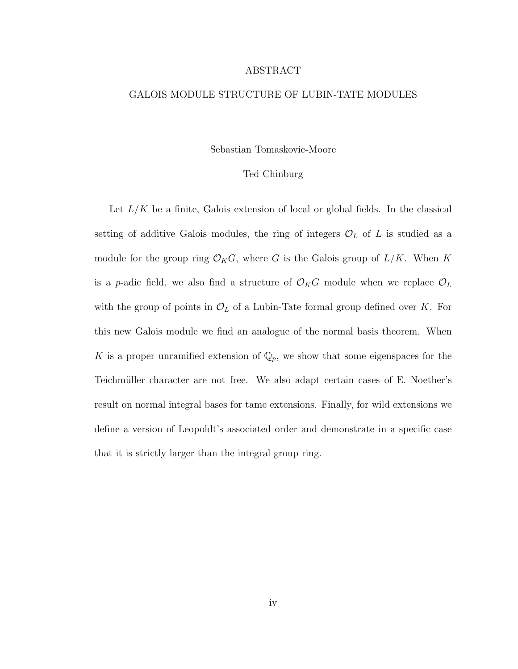#### ABSTRACT

#### GALOIS MODULE STRUCTURE OF LUBIN-TATE MODULES

#### Sebastian Tomaskovic-Moore

#### Ted Chinburg

Let  $L/K$  be a finite, Galois extension of local or global fields. In the classical setting of additive Galois modules, the ring of integers  $\mathcal{O}_L$  of L is studied as a module for the group ring  $\mathcal{O}_KG$ , where G is the Galois group of  $L/K$ . When K is a p-adic field, we also find a structure of  $\mathcal{O}_K G$  module when we replace  $\mathcal{O}_L$ with the group of points in  $\mathcal{O}_L$  of a Lubin-Tate formal group defined over K. For this new Galois module we find an analogue of the normal basis theorem. When K is a proper unramified extension of  $\mathbb{Q}_p$ , we show that some eigenspaces for the Teichmüller character are not free. We also adapt certain cases of E. Noether's result on normal integral bases for tame extensions. Finally, for wild extensions we define a version of Leopoldt's associated order and demonstrate in a specific case that it is strictly larger than the integral group ring.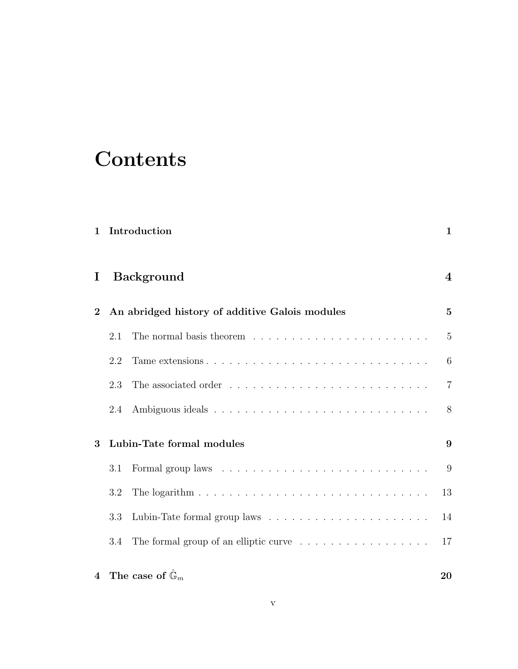## **Contents**

| $\mathbf{1}$                   |     | Introduction                                                                | $\mathbf{1}$   |
|--------------------------------|-----|-----------------------------------------------------------------------------|----------------|
| I.                             |     | <b>Background</b>                                                           | 4              |
| $\bf{2}$                       |     | An abridged history of additive Galois modules                              | $\overline{5}$ |
|                                | 2.1 |                                                                             | $\overline{5}$ |
|                                | 2.2 |                                                                             | 6              |
|                                | 2.3 |                                                                             | $\overline{7}$ |
|                                | 2.4 |                                                                             | 8              |
| Lubin-Tate formal modules<br>3 |     |                                                                             | 9              |
|                                | 3.1 |                                                                             | 9              |
|                                | 3.2 |                                                                             | 13             |
|                                | 3.3 |                                                                             | 14             |
|                                | 3.4 | The formal group of an elliptic curve $\dots \dots \dots \dots \dots \dots$ | 17             |
| $\overline{4}$                 |     | The case of $\mathbb{G}_m$                                                  | 20             |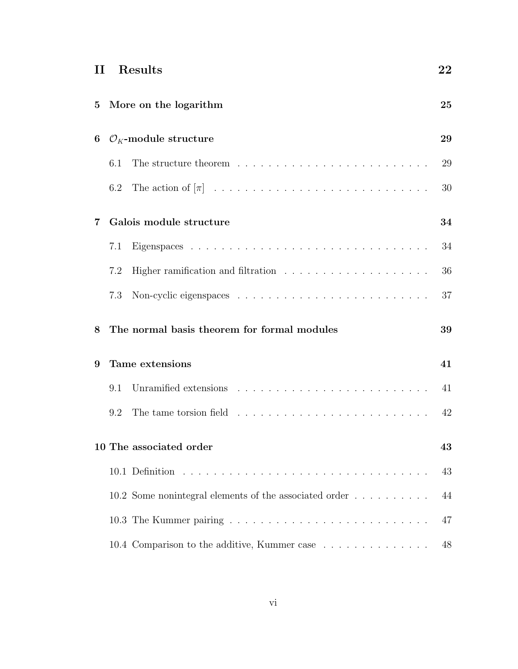| H                             | Results                                                                                                                                                                                                                               | $\bf{22}$ |  |
|-------------------------------|---------------------------------------------------------------------------------------------------------------------------------------------------------------------------------------------------------------------------------------|-----------|--|
| 5                             | More on the logarithm                                                                                                                                                                                                                 | 25        |  |
| 6                             | $\mathcal{O}_K$ -module structure                                                                                                                                                                                                     | 29        |  |
|                               | 6.1                                                                                                                                                                                                                                   | 29        |  |
|                               | 6.2                                                                                                                                                                                                                                   | 30        |  |
| 7                             | Galois module structure                                                                                                                                                                                                               | 34        |  |
|                               | 7.1                                                                                                                                                                                                                                   | 34        |  |
|                               | Higher ramification and filtration $\ldots \ldots \ldots \ldots \ldots \ldots \ldots$<br>7.2                                                                                                                                          | 36        |  |
|                               | 7.3                                                                                                                                                                                                                                   | 37        |  |
| 8                             | The normal basis theorem for formal modules                                                                                                                                                                                           | 39        |  |
| 9                             | Tame extensions                                                                                                                                                                                                                       | 41        |  |
|                               | Unramified extensions resources and contact the contract of the contract of the contract of the contract of the contract of the contract of the contract of the contract of the contract of the contract of the contract of th<br>9.1 | 41        |  |
|                               | 9.2                                                                                                                                                                                                                                   | 42        |  |
| 10 The associated order<br>43 |                                                                                                                                                                                                                                       |           |  |
|                               |                                                                                                                                                                                                                                       | 43        |  |
|                               | 10.2 Some nonintegral elements of the associated order                                                                                                                                                                                | 44        |  |
|                               |                                                                                                                                                                                                                                       | 47        |  |
|                               | 10.4 Comparison to the additive, Kummer case                                                                                                                                                                                          | 48        |  |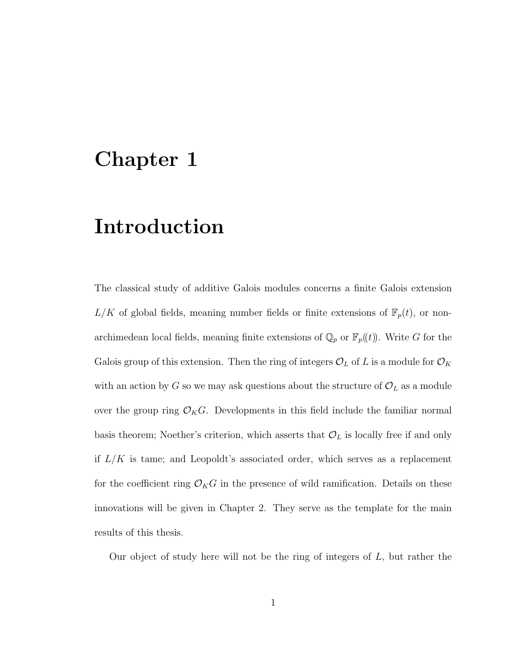### Chapter 1

### Introduction

The classical study of additive Galois modules concerns a finite Galois extension  $L/K$  of global fields, meaning number fields or finite extensions of  $\mathbb{F}_p(t)$ , or nonarchimedean local fields, meaning finite extensions of  $\mathbb{Q}_p$  or  $\mathbb{F}_p(\!(t)\!)$ . Write G for the Galois group of this extension. Then the ring of integers  $\mathcal{O}_L$  of L is a module for  $\mathcal{O}_K$ with an action by G so we may ask questions about the structure of  $\mathcal{O}_L$  as a module over the group ring  $\mathcal{O}_KG$ . Developments in this field include the familiar normal basis theorem; Noether's criterion, which asserts that  $\mathcal{O}_L$  is locally free if and only if  $L/K$  is tame; and Leopoldt's associated order, which serves as a replacement for the coefficient ring  $\mathcal{O}_KG$  in the presence of wild ramification. Details on these innovations will be given in Chapter 2. They serve as the template for the main results of this thesis.

Our object of study here will not be the ring of integers of  $L$ , but rather the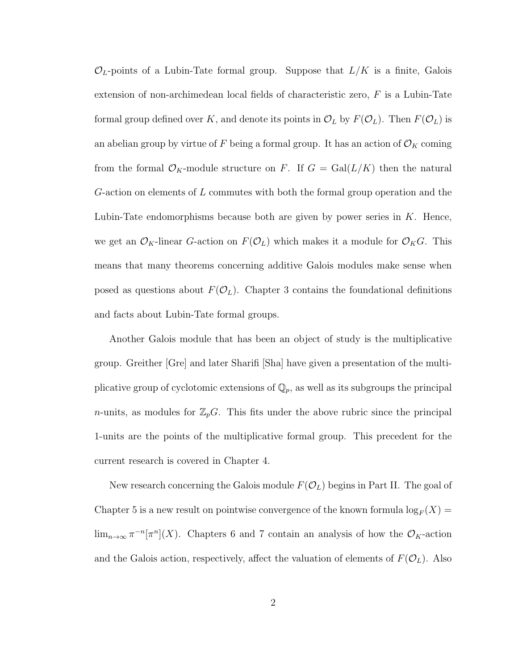$\mathcal{O}_L$ -points of a Lubin-Tate formal group. Suppose that  $L/K$  is a finite, Galois extension of non-archimedean local fields of characteristic zero,  $F$  is a Lubin-Tate formal group defined over K, and denote its points in  $\mathcal{O}_L$  by  $F(\mathcal{O}_L)$ . Then  $F(\mathcal{O}_L)$  is an abelian group by virtue of F being a formal group. It has an action of  $\mathcal{O}_K$  coming from the formal  $\mathcal{O}_K$ -module structure on F. If  $G = \text{Gal}(L/K)$  then the natural G-action on elements of  $L$  commutes with both the formal group operation and the Lubin-Tate endomorphisms because both are given by power series in  $K$ . Hence, we get an  $\mathcal{O}_K$ -linear G-action on  $F(\mathcal{O}_L)$  which makes it a module for  $\mathcal{O}_KG$ . This means that many theorems concerning additive Galois modules make sense when posed as questions about  $F(\mathcal{O}_L)$ . Chapter 3 contains the foundational definitions and facts about Lubin-Tate formal groups.

Another Galois module that has been an object of study is the multiplicative group. Greither [Gre] and later Sharifi [Sha] have given a presentation of the multiplicative group of cyclotomic extensions of  $\mathbb{Q}_p$ , as well as its subgroups the principal *n*-units, as modules for  $\mathbb{Z}_p G$ . This fits under the above rubric since the principal 1-units are the points of the multiplicative formal group. This precedent for the current research is covered in Chapter 4.

New research concerning the Galois module  $F(\mathcal{O}_L)$  begins in Part II. The goal of Chapter 5 is a new result on pointwise convergence of the known formula  $\log_F(X)$  $\lim_{n\to\infty} \pi^{-n}[\pi^n](X)$ . Chapters 6 and 7 contain an analysis of how the  $\mathcal{O}_K$ -action and the Galois action, respectively, affect the valuation of elements of  $F(\mathcal{O}_L)$ . Also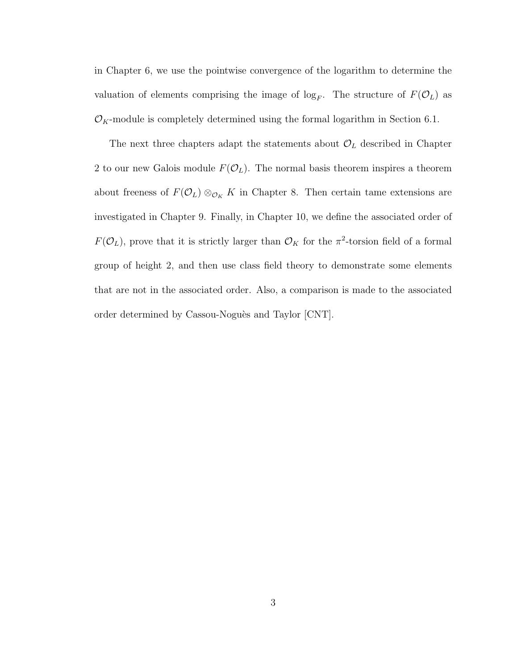in Chapter 6, we use the pointwise convergence of the logarithm to determine the valuation of elements comprising the image of  $\log_F$ . The structure of  $F(\mathcal{O}_L)$  as  $\mathcal{O}_K$ -module is completely determined using the formal logarithm in Section 6.1.

The next three chapters adapt the statements about  $\mathcal{O}_L$  described in Chapter 2 to our new Galois module  $F(\mathcal{O}_L)$ . The normal basis theorem inspires a theorem about freeness of  $F(\mathcal{O}_L) \otimes_{\mathcal{O}_K} K$  in Chapter 8. Then certain tame extensions are investigated in Chapter 9. Finally, in Chapter 10, we define the associated order of  $F(\mathcal{O}_L)$ , prove that it is strictly larger than  $\mathcal{O}_K$  for the  $\pi^2$ -torsion field of a formal group of height 2, and then use class field theory to demonstrate some elements that are not in the associated order. Also, a comparison is made to the associated order determined by Cassou-Noguès and Taylor [CNT].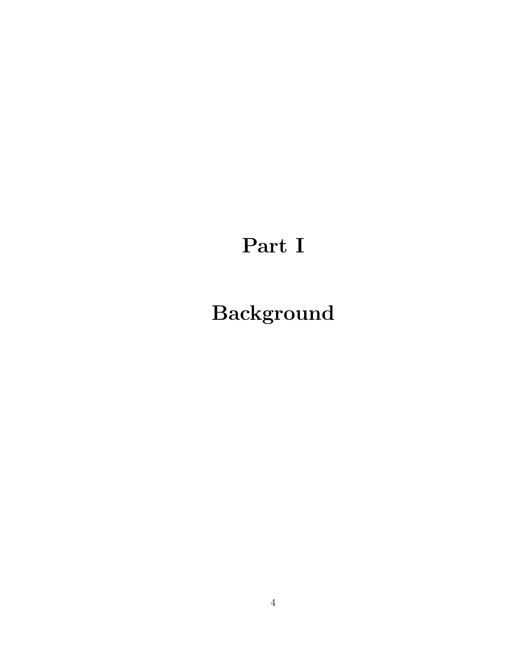# Part I

# Background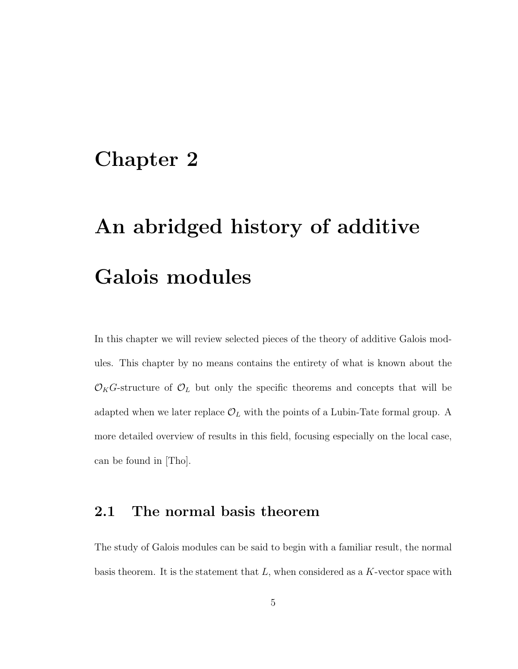### Chapter 2

# An abridged history of additive Galois modules

In this chapter we will review selected pieces of the theory of additive Galois modules. This chapter by no means contains the entirety of what is known about the  $\mathcal{O}_KG$ -structure of  $\mathcal{O}_L$  but only the specific theorems and concepts that will be adapted when we later replace  $\mathcal{O}_L$  with the points of a Lubin-Tate formal group. A more detailed overview of results in this field, focusing especially on the local case, can be found in [Tho].

#### 2.1 The normal basis theorem

The study of Galois modules can be said to begin with a familiar result, the normal basis theorem. It is the statement that  $L$ , when considered as a K-vector space with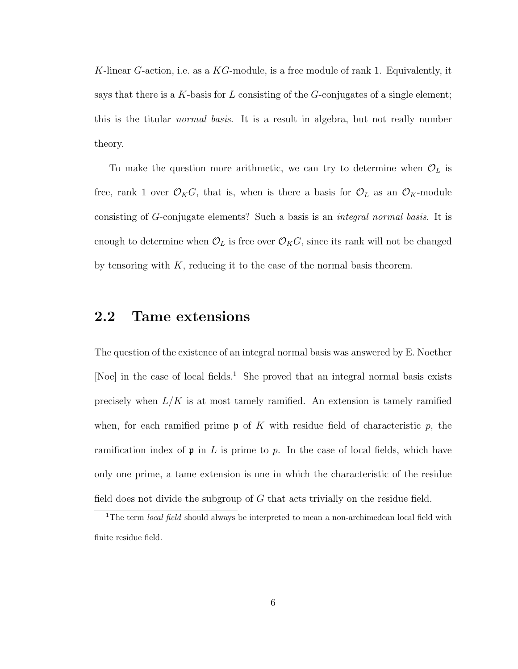K-linear G-action, i.e. as a  $KG$ -module, is a free module of rank 1. Equivalently, it says that there is a K-basis for L consisting of the  $G$ -conjugates of a single element; this is the titular normal basis. It is a result in algebra, but not really number theory.

To make the question more arithmetic, we can try to determine when  $\mathcal{O}_L$  is free, rank 1 over  $\mathcal{O}_KG$ , that is, when is there a basis for  $\mathcal{O}_L$  as an  $\mathcal{O}_K$ -module consisting of G-conjugate elements? Such a basis is an integral normal basis. It is enough to determine when  $\mathcal{O}_L$  is free over  $\mathcal{O}_KG$ , since its rank will not be changed by tensoring with  $K$ , reducing it to the case of the normal basis theorem.

#### 2.2 Tame extensions

The question of the existence of an integral normal basis was answered by E. Noether [Noe] in the case of local fields.<sup>1</sup> She proved that an integral normal basis exists precisely when  $L/K$  is at most tamely ramified. An extension is tamely ramified when, for each ramified prime  $\mathfrak p$  of K with residue field of characteristic p, the ramification index of  $\mathfrak p$  in L is prime to p. In the case of local fields, which have only one prime, a tame extension is one in which the characteristic of the residue field does not divide the subgroup of  $G$  that acts trivially on the residue field.

<sup>&</sup>lt;sup>1</sup>The term *local field* should always be interpreted to mean a non-archimedean local field with finite residue field.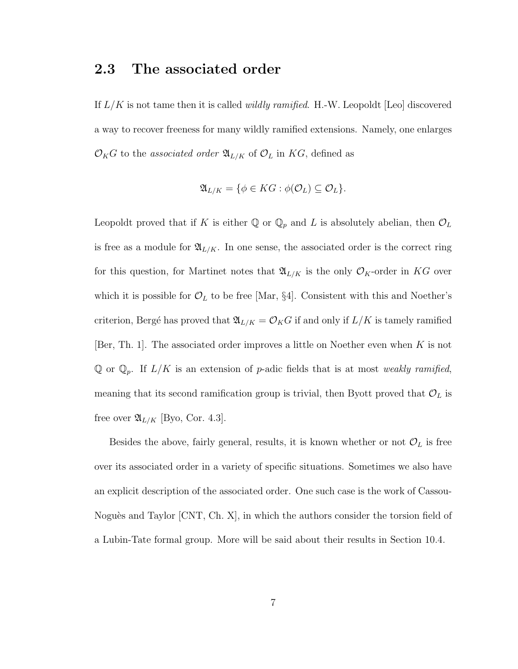#### 2.3 The associated order

If  $L/K$  is not tame then it is called *wildly ramified*. H.-W. Leopoldt [Leo] discovered a way to recover freeness for many wildly ramified extensions. Namely, one enlarges  $\mathcal{O}_KG$  to the associated order  $\mathfrak{A}_{L/K}$  of  $\mathcal{O}_L$  in KG, defined as

$$
\mathfrak{A}_{L/K} = \{ \phi \in KG : \phi(\mathcal{O}_L) \subseteq \mathcal{O}_L \}.
$$

Leopoldt proved that if K is either  $\mathbb{Q}$  or  $\mathbb{Q}_p$  and L is absolutely abelian, then  $\mathcal{O}_L$ is free as a module for  $\mathfrak{A}_{L/K}$ . In one sense, the associated order is the correct ring for this question, for Martinet notes that  $\mathfrak{A}_{L/K}$  is the only  $\mathcal{O}_K$ -order in KG over which it is possible for  $\mathcal{O}_L$  to be free [Mar, §4]. Consistent with this and Noether's criterion, Bergé has proved that  $\mathfrak{A}_{L/K} = \mathcal{O}_K G$  if and only if  $L/K$  is tamely ramified [Ber, Th. 1]. The associated order improves a little on Noether even when  $K$  is not  $\mathbb Q$  or  $\mathbb Q_p$ . If  $L/K$  is an extension of p-adic fields that is at most weakly ramified, meaning that its second ramification group is trivial, then Byott proved that  $\mathcal{O}_L$  is free over  $\mathfrak{A}_{L/K}$  [Byo, Cor. 4.3].

Besides the above, fairly general, results, it is known whether or not  $\mathcal{O}_L$  is free over its associated order in a variety of specific situations. Sometimes we also have an explicit description of the associated order. One such case is the work of Cassou-Noguès and Taylor  $[CNT, Ch, X]$ , in which the authors consider the torsion field of a Lubin-Tate formal group. More will be said about their results in Section 10.4.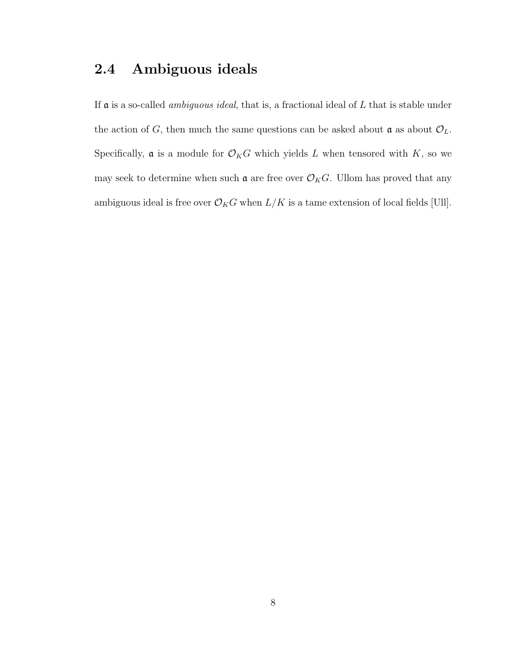### 2.4 Ambiguous ideals

If  $\alpha$  is a so-called *ambiguous ideal*, that is, a fractional ideal of  $L$  that is stable under the action of G, then much the same questions can be asked about  $\mathcal{O}_L$ . Specifically,  ${\mathfrak a}$  is a module for  ${\mathcal O}_KG$  which yields  $L$  when tensored with  $K,$  so we may seek to determine when such  $\mathfrak{a}$  are free over  $\mathcal{O}_KG$ . Ullom has proved that any ambiguous ideal is free over  $\mathcal{O}_KG$  when  $L/K$  is a tame extension of local fields [Ull].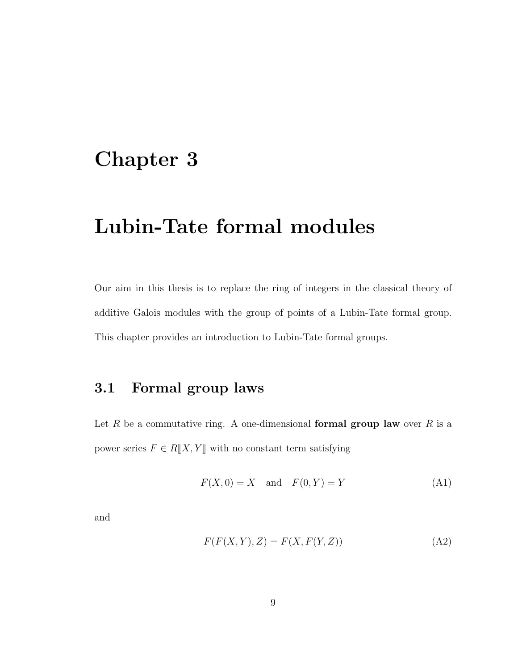### Chapter 3

### Lubin-Tate formal modules

Our aim in this thesis is to replace the ring of integers in the classical theory of additive Galois modules with the group of points of a Lubin-Tate formal group. This chapter provides an introduction to Lubin-Tate formal groups.

### 3.1 Formal group laws

Let R be a commutative ring. A one-dimensional formal group law over R is a power series  $F \in R[[X, Y]]$  with no constant term satisfying

$$
F(X,0) = X \quad \text{and} \quad F(0,Y) = Y \tag{A1}
$$

and

$$
F(F(X,Y),Z) = F(X,F(Y,Z))
$$
\n(A2)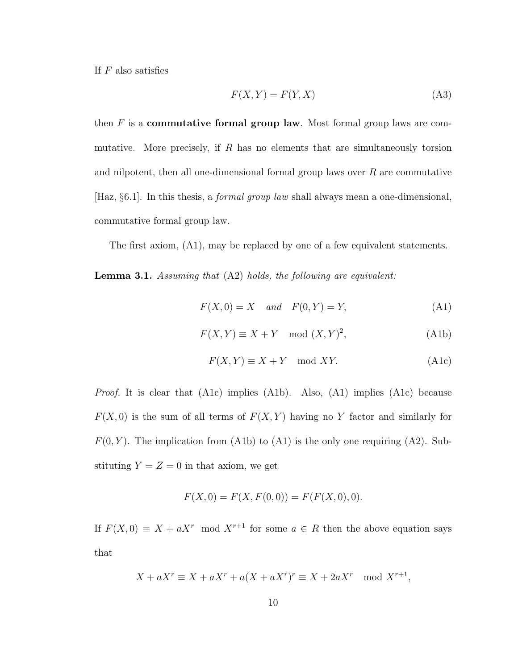If  $F$  also satisfies

$$
F(X,Y) = F(Y,X)
$$
\n(A3)

then  $F$  is a **commutative formal group law**. Most formal group laws are commutative. More precisely, if  $R$  has no elements that are simultaneously torsion and nilpotent, then all one-dimensional formal group laws over  $R$  are commutative [Haz, §6.1]. In this thesis, a formal group law shall always mean a one-dimensional, commutative formal group law.

The first axiom, (A1), may be replaced by one of a few equivalent statements.

Lemma 3.1. Assuming that (A2) holds, the following are equivalent:

$$
F(X,0) = X \quad and \quad F(0,Y) = Y,\tag{A1}
$$

$$
F(X,Y) \equiv X + Y \mod (X,Y)^2,\tag{A1b}
$$

$$
F(X,Y) \equiv X + Y \mod XY. \tag{A1c}
$$

Proof. It is clear that (A1c) implies (A1b). Also, (A1) implies (A1c) because  $F(X, 0)$  is the sum of all terms of  $F(X, Y)$  having no Y factor and similarly for  $F(0, Y)$ . The implication from (A1b) to (A1) is the only one requiring (A2). Substituting  $Y = Z = 0$  in that axiom, we get

$$
F(X,0) = F(X,F(0,0)) = F(F(X,0),0).
$$

If  $F(X, 0) \equiv X + aX^r \mod X^{r+1}$  for some  $a \in R$  then the above equation says that

$$
X + aX^r \equiv X + aX^r + a(X + aX^r)^r \equiv X + 2aX^r \mod X^{r+1},
$$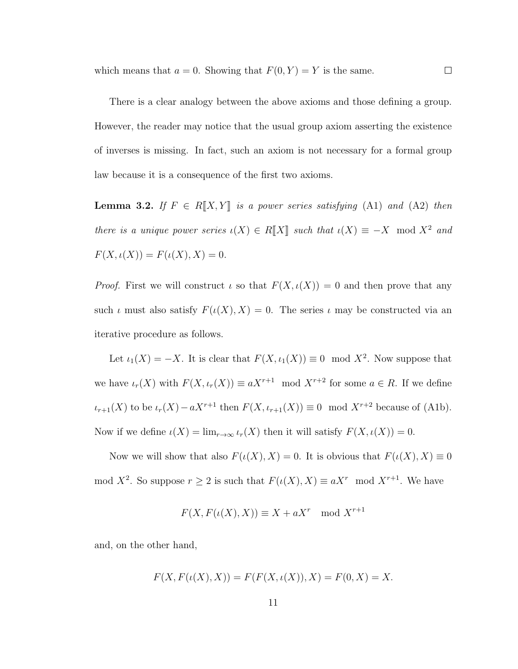which means that  $a = 0$ . Showing that  $F(0, Y) = Y$  is the same.

There is a clear analogy between the above axioms and those defining a group. However, the reader may notice that the usual group axiom asserting the existence of inverses is missing. In fact, such an axiom is not necessary for a formal group law because it is a consequence of the first two axioms.

 $\Box$ 

**Lemma 3.2.** If  $F \in R[[X, Y]]$  is a power series satisfying (A1) and (A2) then there is a unique power series  $\iota(X) \in R[[X]]$  such that  $\iota(X) \equiv -X \mod X^2$  and  $F(X, \iota(X)) = F(\iota(X), X) = 0.$ 

*Proof.* First we will construct  $\iota$  so that  $F(X, \iota(X)) = 0$  and then prove that any such  $\iota$  must also satisfy  $F(\iota(X), X) = 0$ . The series  $\iota$  may be constructed via an iterative procedure as follows.

Let  $\iota_1(X) = -X$ . It is clear that  $F(X, \iota_1(X)) \equiv 0 \mod X^2$ . Now suppose that we have  $\iota_r(X)$  with  $F(X, \iota_r(X)) \equiv aX^{r+1} \mod X^{r+2}$  for some  $a \in R$ . If we define  $\iota_{r+1}(X)$  to be  $\iota_r(X) - aX^{r+1}$  then  $F(X, \iota_{r+1}(X)) \equiv 0 \mod X^{r+2}$  because of (A1b). Now if we define  $\iota(X) = \lim_{r \to \infty} \iota_r(X)$  then it will satisfy  $F(X, \iota(X)) = 0$ .

Now we will show that also  $F(\iota(X), X) = 0$ . It is obvious that  $F(\iota(X), X) \equiv 0$ mod  $X^2$ . So suppose  $r \geq 2$  is such that  $F(\iota(X), X) \equiv aX^r \mod X^{r+1}$ . We have

$$
F(X, F(\iota(X), X)) \equiv X + aX^r \mod X^{r+1}
$$

and, on the other hand,

$$
F(X, F(\iota(X), X)) = F(F(X, \iota(X)), X) = F(0, X) = X.
$$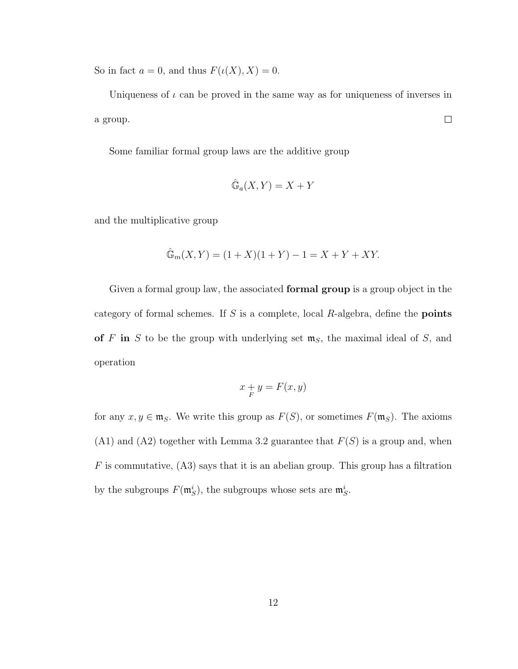So in fact  $a = 0$ , and thus  $F(\iota(X), X) = 0$ .

Uniqueness of  $\iota$  can be proved in the same way as for uniqueness of inverses in  $\Box$ a group.

Some familiar formal group laws are the additive group

$$
\hat{\mathbb{G}}_a(X, Y) = X + Y
$$

and the multiplicative group

$$
\hat{\mathbb{G}}_m(X, Y) = (1 + X)(1 + Y) - 1 = X + Y + XY.
$$

Given a formal group law, the associated **formal group** is a group object in the category of formal schemes. If  $S$  is a complete, local  $R$ -algebra, define the **points** of F in S to be the group with underlying set  $m<sub>S</sub>$ , the maximal ideal of S, and operation

$$
x + y = F(x, y)
$$

for any  $x, y \in \mathfrak{m}_S$ . We write this group as  $F(S)$ , or sometimes  $F(\mathfrak{m}_S)$ . The axioms  $(A1)$  and  $(A2)$  together with Lemma 3.2 guarantee that  $F(S)$  is a group and, when  $F$  is commutative,  $(A3)$  says that it is an abelian group. This group has a filtration by the subgroups  $F(\mathfrak{m}_S^i)$ , the subgroups whose sets are  $\mathfrak{m}_S^i$ .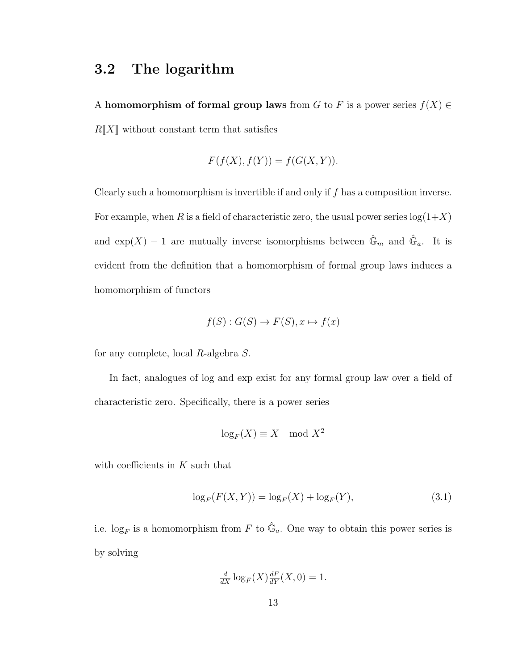### 3.2 The logarithm

A homomorphism of formal group laws from G to F is a power series  $f(X) \in$  $R[X]$  without constant term that satisfies

$$
F(f(X), f(Y)) = f(G(X, Y)).
$$

Clearly such a homomorphism is invertible if and only if f has a composition inverse. For example, when R is a field of characteristic zero, the usual power series  $log(1+X)$ and  $\exp(X) - 1$  are mutually inverse isomorphisms between  $\hat{\mathbb{G}}_m$  and  $\hat{\mathbb{G}}_a$ . It is evident from the definition that a homomorphism of formal group laws induces a homomorphism of functors

$$
f(S) : G(S) \to F(S), x \mapsto f(x)
$$

for any complete, local R-algebra S.

In fact, analogues of log and exp exist for any formal group law over a field of characteristic zero. Specifically, there is a power series

$$
\log_F(X) \equiv X \mod X^2
$$

with coefficients in  $K$  such that

$$
\log_F(F(X, Y)) = \log_F(X) + \log_F(Y),\tag{3.1}
$$

i.e.  $\log_F$  is a homomorphism from F to  $\hat{\mathbb{G}}_a$ . One way to obtain this power series is by solving

$$
\frac{d}{dX}\log_F(X)\frac{dF}{dY}(X,0) = 1.
$$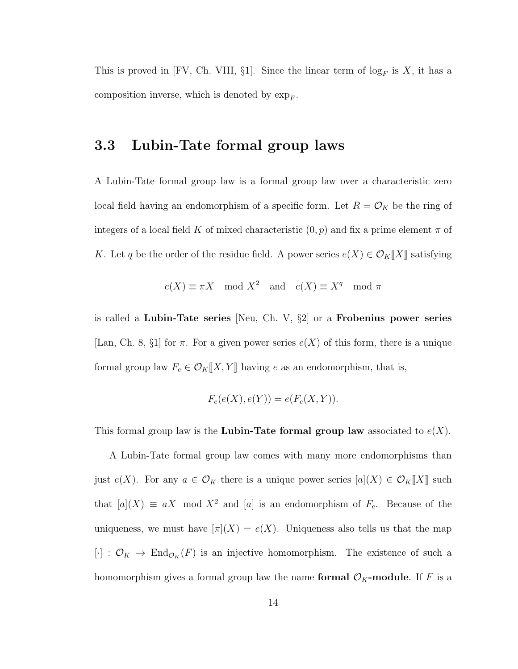This is proved in [FV, Ch. VIII,  $\S1$ ]. Since the linear term of  $\log_F$  is X, it has a composition inverse, which is denoted by  $\exp_F$ .

#### 3.3 Lubin-Tate formal group laws

A Lubin-Tate formal group law is a formal group law over a characteristic zero local field having an endomorphism of a specific form. Let  $R = \mathcal{O}_K$  be the ring of integers of a local field K of mixed characteristic  $(0, p)$  and fix a prime element  $\pi$  of K. Let q be the order of the residue field. A power series  $e(X) \in \mathcal{O}_K[[X]]$  satisfying

$$
e(X) \equiv \pi X \mod X^2
$$
 and  $e(X) \equiv X^q \mod \pi$ 

is called a Lubin-Tate series [Neu, Ch. V,  $\S2$ ] or a Frobenius power series [Lan, Ch. 8, §1] for  $\pi$ . For a given power series  $e(X)$  of this form, there is a unique formal group law  $F_e \in \mathcal{O}_K[[X, Y]]$  having e as an endomorphism, that is,

$$
F_e(e(X), e(Y)) = e(F_e(X, Y)).
$$

This formal group law is the Lubin-Tate formal group law associated to  $e(X)$ .

A Lubin-Tate formal group law comes with many more endomorphisms than just  $e(X)$ . For any  $a \in \mathcal{O}_K$  there is a unique power series  $[a](X) \in \mathcal{O}_K[[X]]$  such that  $[a](X) \equiv aX \mod X^2$  and  $[a]$  is an endomorphism of  $F_e$ . Because of the uniqueness, we must have  $[\pi](X) = e(X)$ . Uniqueness also tells us that the map  $[\cdot] : \mathcal{O}_K \to \text{End}_{\mathcal{O}_K}(F)$  is an injective homomorphism. The existence of such a homomorphism gives a formal group law the name formal  $\mathcal{O}_K$ -module. If F is a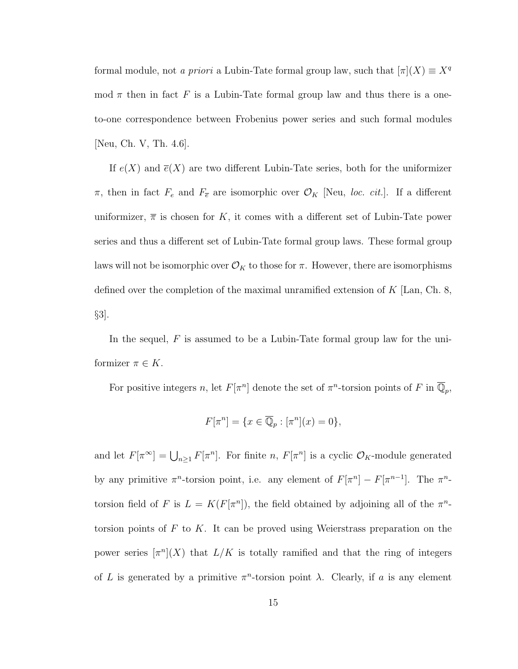formal module, not a priori a Lubin-Tate formal group law, such that  $[\pi](X) \equiv X^q$ mod  $\pi$  then in fact F is a Lubin-Tate formal group law and thus there is a oneto-one correspondence between Frobenius power series and such formal modules [Neu, Ch. V, Th. 4.6].

If  $e(X)$  and  $\overline{e}(X)$  are two different Lubin-Tate series, both for the uniformizer  $\pi$ , then in fact  $F_e$  and  $F_{\overline{e}}$  are isomorphic over  $\mathcal{O}_K$  [Neu, *loc. cit.*]. If a different uniformizer,  $\overline{\pi}$  is chosen for K, it comes with a different set of Lubin-Tate power series and thus a different set of Lubin-Tate formal group laws. These formal group laws will not be isomorphic over  $\mathcal{O}_K$  to those for  $\pi$ . However, there are isomorphisms defined over the completion of the maximal unramified extension of  $K$  [Lan, Ch. 8, §3].

In the sequel, F is assumed to be a Lubin-Tate formal group law for the uniformizer  $\pi \in K$ .

For positive integers n, let  $F[\pi^n]$  denote the set of  $\pi^n$ -torsion points of F in  $\overline{\mathbb{Q}}_p$ ,

$$
F[\pi^n] = \{ x \in \overline{\mathbb{Q}}_p : [\pi^n](x) = 0 \},
$$

and let  $F[\pi^{\infty}] = \bigcup_{n \geq 1} F[\pi^n]$ . For finite n,  $F[\pi^n]$  is a cyclic  $\mathcal{O}_K$ -module generated by any primitive  $\pi^n$ -torsion point, i.e. any element of  $F[\pi^n] - F[\pi^{n-1}]$ . The  $\pi^n$ torsion field of F is  $L = K(F[\pi^n])$ , the field obtained by adjoining all of the  $\pi^n$ torsion points of  $F$  to  $K$ . It can be proved using Weierstrass preparation on the power series  $\lceil \pi^n \rceil(X)$  that  $L/K$  is totally ramified and that the ring of integers of L is generated by a primitive  $\pi^n$ -torsion point  $\lambda$ . Clearly, if a is any element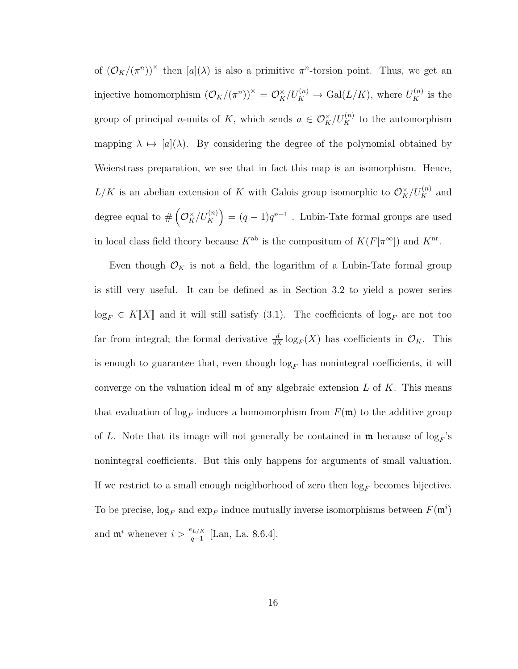of  $(\mathcal{O}_K/(\pi^n))^{\times}$  then  $[a](\lambda)$  is also a primitive  $\pi^n$ -torsion point. Thus, we get an injective homomorphism  $(\mathcal{O}_K/(\pi^n))^{\times} = \mathcal{O}_K^{\times}/U_K^{(n)} \to \text{Gal}(L/K)$ , where  $U_K^{(n)}$  is the group of principal *n*-units of K, which sends  $a \in \mathcal{O}_K^{\times}/U_K^{(n)}$  to the automorphism mapping  $\lambda \mapsto [a](\lambda)$ . By considering the degree of the polynomial obtained by Weierstrass preparation, we see that in fact this map is an isomorphism. Hence,  $L/K$  is an abelian extension of K with Galois group isomorphic to  $\mathcal{O}_K^{\times}/U_K^{(n)}$  and degree equal to  $\#\left(\mathcal{O}_K^{\times}/U_K^{(n)}\right) = (q-1)q^{n-1}$ . Lubin-Tate formal groups are used in local class field theory because  $K^{\text{ab}}$  is the compositum of  $K(F[\pi^{\infty}])$  and  $K^{\text{nr}}$ .

Even though  $\mathcal{O}_K$  is not a field, the logarithm of a Lubin-Tate formal group is still very useful. It can be defined as in Section 3.2 to yield a power series  $log_F \in K[[X]]$  and it will still satisfy (3.1). The coefficients of  $log_F$  are not too far from integral; the formal derivative  $\frac{d}{dX} \log_F(X)$  has coefficients in  $\mathcal{O}_K$ . This is enough to guarantee that, even though  $\log_F$  has nonintegral coefficients, it will converge on the valuation ideal  $\mathfrak m$  of any algebraic extension L of K. This means that evaluation of  $\log_F$  induces a homomorphism from  $F(\mathfrak{m})$  to the additive group of L. Note that its image will not generally be contained in  $\mathfrak{m}$  because of  $\log_F$ 's nonintegral coefficients. But this only happens for arguments of small valuation. If we restrict to a small enough neighborhood of zero then  $log_F$  becomes bijective. To be precise,  $\log_F$  and  $\exp_F$  induce mutually inverse isomorphisms between  $F(\mathfrak{m}^i)$ and  $\mathfrak{m}^i$  whenever  $i > \frac{e_{L/K}}{q-1}$  [Lan, La. 8.6.4].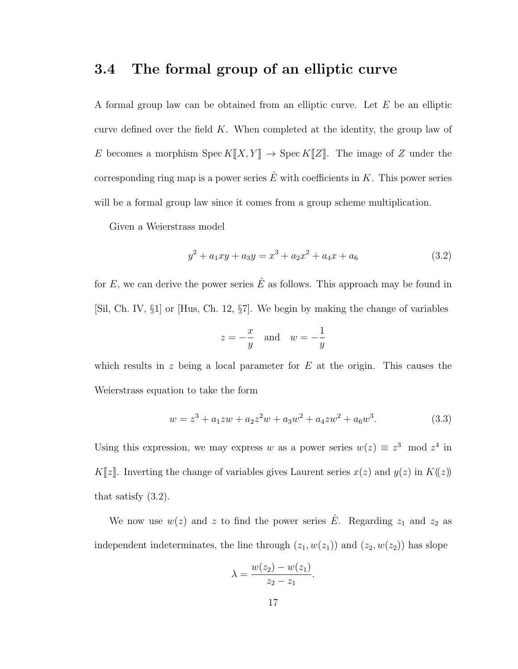#### 3.4 The formal group of an elliptic curve

A formal group law can be obtained from an elliptic curve. Let E be an elliptic curve defined over the field  $K$ . When completed at the identity, the group law of E becomes a morphism  $\operatorname{Spec} K[\![X,Y]\!] \to \operatorname{Spec} K[\![Z]\!]$ . The image of Z under the corresponding ring map is a power series  $\hat{E}$  with coefficients in K. This power series will be a formal group law since it comes from a group scheme multiplication.

Given a Weierstrass model

$$
y^{2} + a_{1}xy + a_{3}y = x^{3} + a_{2}x^{2} + a_{4}x + a_{6}
$$
\n(3.2)

for E, we can derive the power series  $\hat{E}$  as follows. This approach may be found in [Sil, Ch. IV, §1] or [Hus, Ch. 12, §7]. We begin by making the change of variables

$$
z = -\frac{x}{y} \quad \text{and} \quad w = -\frac{1}{y}
$$

which results in z being a local parameter for  $E$  at the origin. This causes the Weierstrass equation to take the form

$$
w = z3 + a1zw + a2z2w + a3w2 + a4zw2 + a6w3.
$$
 (3.3)

Using this expression, we may express w as a power series  $w(z) \equiv z^3 \mod z^4$  in K[z]. Inverting the change of variables gives Laurent series  $x(z)$  and  $y(z)$  in  $K(z)$ ) that satisfy (3.2).

We now use  $w(z)$  and z to find the power series  $\hat{E}$ . Regarding  $z_1$  and  $z_2$  as independent indeterminates, the line through  $(z_1, w(z_1))$  and  $(z_2, w(z_2))$  has slope

$$
\lambda = \frac{w(z_2) - w(z_1)}{z_2 - z_1}.
$$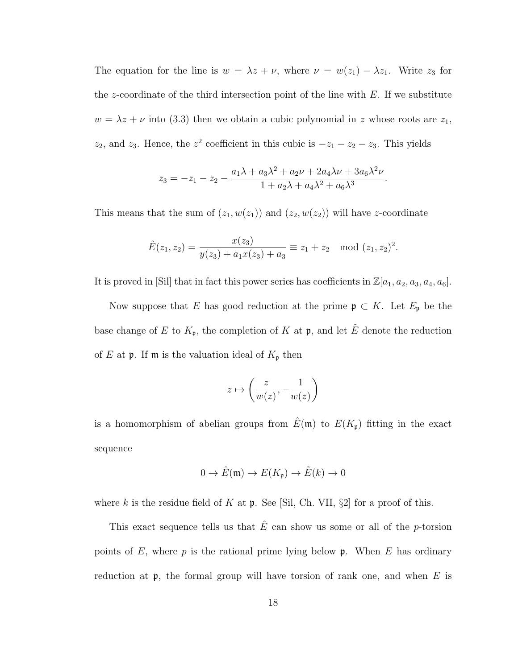The equation for the line is  $w = \lambda z + \nu$ , where  $\nu = w(z_1) - \lambda z_1$ . Write  $z_3$  for the z-coordinate of the third intersection point of the line with  $E$ . If we substitute  $w = \lambda z + \nu$  into (3.3) then we obtain a cubic polynomial in z whose roots are  $z_1$ ,  $z_2$ , and  $z_3$ . Hence, the  $z^2$  coefficient in this cubic is  $-z_1 - z_2 - z_3$ . This yields

$$
z_3 = -z_1 - z_2 - \frac{a_1\lambda + a_3\lambda^2 + a_2\nu + 2a_4\lambda\nu + 3a_6\lambda^2\nu}{1 + a_2\lambda + a_4\lambda^2 + a_6\lambda^3}.
$$

This means that the sum of  $(z_1, w(z_1))$  and  $(z_2, w(z_2))$  will have z-coordinate

$$
\hat{E}(z_1, z_2) = \frac{x(z_3)}{y(z_3) + a_1 x(z_3) + a_3} \equiv z_1 + z_2 \mod (z_1, z_2)^2.
$$

It is proved in [Sil] that in fact this power series has coefficients in  $\mathbb{Z}[a_1, a_2, a_3, a_4, a_6]$ .

Now suppose that E has good reduction at the prime  $\mathfrak{p} \subset K$ . Let  $E_{\mathfrak{p}}$  be the base change of E to  $K_{\mathfrak{p}}$ , the completion of K at  $\mathfrak{p}$ , and let  $\tilde{E}$  denote the reduction of  $E$  at  $\mathfrak p$ . If  $\mathfrak m$  is the valuation ideal of  $K_{\mathfrak p}$  then

$$
z \mapsto \left(\frac{z}{w(z)}, -\frac{1}{w(z)}\right)
$$

is a homomorphism of abelian groups from  $\hat{E}(\mathfrak{m})$  to  $E(K_{\mathfrak{p}})$  fitting in the exact sequence

$$
0 \to \hat{E}(\mathfrak{m}) \to E(K_{\mathfrak{p}}) \to \tilde{E}(k) \to 0
$$

where k is the residue field of K at  $\mathfrak p$ . See [Sil, Ch. VII, §2] for a proof of this.

This exact sequence tells us that  $\hat{E}$  can show us some or all of the p-torsion points of E, where  $p$  is the rational prime lying below  $\mathfrak p$ . When E has ordinary reduction at  $\mathfrak{p}$ , the formal group will have torsion of rank one, and when E is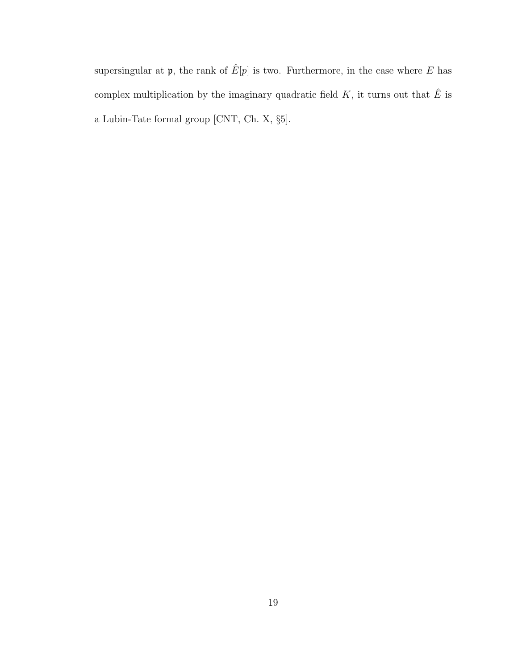supersingular at  $\mathfrak{p},$  the rank of  $\hat{E}[p]$  is two. Furthermore, in the case where  $E$  has complex multiplication by the imaginary quadratic field  $K,$  it turns out that  $\hat{E}$  is a Lubin-Tate formal group [CNT, Ch. X, §5].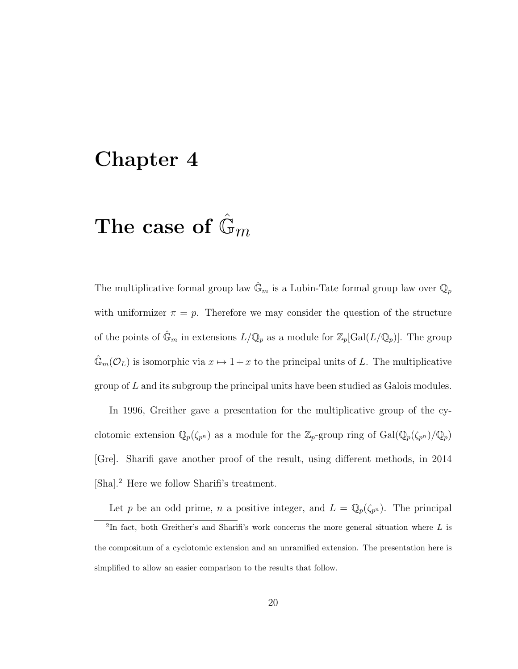### Chapter 4

## The case of  $\mathbb{G}_m$

The multiplicative formal group law  $\mathbb{G}_m$  is a Lubin-Tate formal group law over  $\mathbb{Q}_p$ with uniformizer  $\pi = p$ . Therefore we may consider the question of the structure of the points of  $\hat{\mathbb{G}}_m$  in extensions  $L/\mathbb{Q}_p$  as a module for  $\mathbb{Z}_p[\text{Gal}(L/\mathbb{Q}_p)]$ . The group  $\mathbb{G}_m(\mathcal{O}_L)$  is isomorphic via  $x \mapsto 1 + x$  to the principal units of L. The multiplicative group of L and its subgroup the principal units have been studied as Galois modules.

In 1996, Greither gave a presentation for the multiplicative group of the cyclotomic extension  $\mathbb{Q}_p(\zeta_{p^n})$  as a module for the  $\mathbb{Z}_p$ -group ring of  $Gal(\mathbb{Q}_p(\zeta_{p^n})/\mathbb{Q}_p)$ [Gre]. Sharifi gave another proof of the result, using different methods, in 2014 [Sha].<sup>2</sup> Here we follow Sharifi's treatment.

Let p be an odd prime, n a positive integer, and  $L = \mathbb{Q}_p(\zeta_{p^n})$ . The principal

<sup>&</sup>lt;sup>2</sup>In fact, both Greither's and Sharifi's work concerns the more general situation where L is the compositum of a cyclotomic extension and an unramified extension. The presentation here is simplified to allow an easier comparison to the results that follow.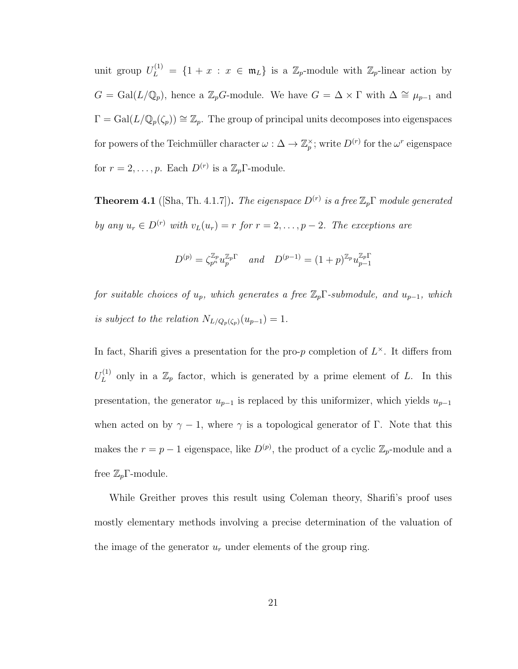unit group  $U_L^{(1)} = \{1 + x : x \in \mathfrak{m}_L\}$  is a  $\mathbb{Z}_p$ -module with  $\mathbb{Z}_p$ -linear action by  $G = \text{Gal}(L/\mathbb{Q}_p)$ , hence a  $\mathbb{Z}_pG$ -module. We have  $G = \Delta \times \Gamma$  with  $\Delta \cong \mu_{p-1}$  and  $\Gamma = \text{Gal}(L/\mathbb{Q}_p(\zeta_p)) \cong \mathbb{Z}_p$ . The group of principal units decomposes into eigenspaces for powers of the Teichmüller character  $\omega : \Delta \to \mathbb{Z}_p^\times$ ; write  $D^{(r)}$  for the  $\omega^r$  eigenspace for  $r = 2, \ldots, p$ . Each  $D^{(r)}$  is a  $\mathbb{Z}_p\Gamma$ -module.

**Theorem 4.1** ([Sha, Th. 4.1.7]). The eigenspace  $D^{(r)}$  is a free  $\mathbb{Z}_p\Gamma$  module generated by any  $u_r \in D^{(r)}$  with  $v_L(u_r) = r$  for  $r = 2, \ldots, p-2$ . The exceptions are

$$
D^{(p)} = \zeta_{p^n}^{\mathbb{Z}_p} u_p^{\mathbb{Z}_p} \quad and \quad D^{(p-1)} = (1+p)^{\mathbb{Z}_p} u_{p-1}^{\mathbb{Z}_p}.
$$

for suitable choices of  $u_p$ , which generates a free  $\mathbb{Z}_p\Gamma$ -submodule, and  $u_{p-1}$ , which is subject to the relation  $N_{L/Q_p(\zeta_p)}(u_{p-1}) = 1$ .

In fact, Sharifi gives a presentation for the pro-p completion of  $L^{\times}$ . It differs from  $U^{(1)}_L$  $L_L^{(1)}$  only in a  $\mathbb{Z}_p$  factor, which is generated by a prime element of L. In this presentation, the generator  $u_{p-1}$  is replaced by this uniformizer, which yields  $u_{p-1}$ when acted on by  $\gamma - 1$ , where  $\gamma$  is a topological generator of Γ. Note that this makes the  $r = p - 1$  eigenspace, like  $D^{(p)}$ , the product of a cyclic  $\mathbb{Z}_p$ -module and a free  $\mathbb{Z}_p\Gamma$ -module.

While Greither proves this result using Coleman theory, Sharifi's proof uses mostly elementary methods involving a precise determination of the valuation of the image of the generator  $u_r$  under elements of the group ring.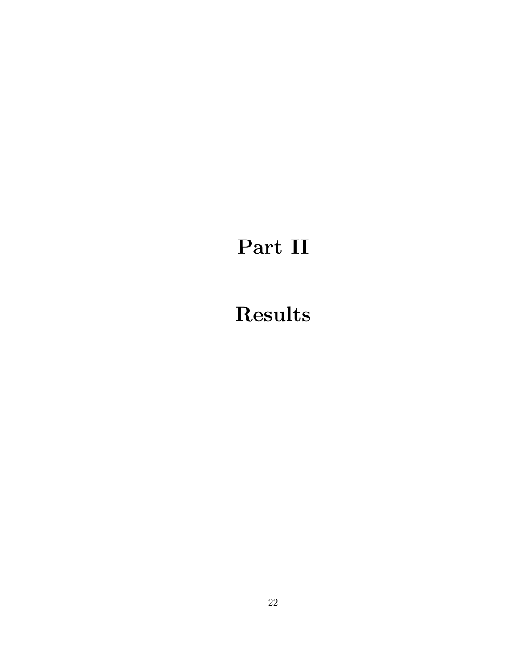# Part II

# Results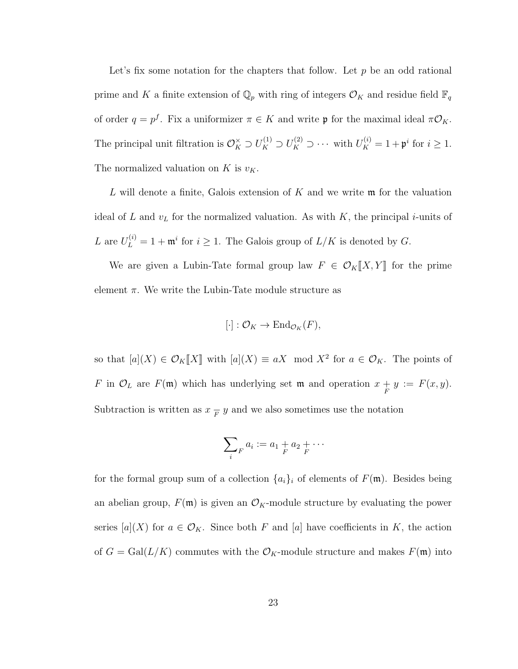Let's fix some notation for the chapters that follow. Let  $p$  be an odd rational prime and K a finite extension of  $\mathbb{Q}_p$  with ring of integers  $\mathcal{O}_K$  and residue field  $\mathbb{F}_q$ of order  $q = p^f$ . Fix a uniformizer  $\pi \in K$  and write  $\mathfrak p$  for the maximal ideal  $\pi \mathcal O_K$ . The principal unit filtration is  $\mathcal{O}_K^{\times} \supset U_K^{(1)} \supset U_K^{(2)} \supset \cdots$  with  $U_K^{(i)} = 1 + \mathfrak{p}^i$  for  $i \geq 1$ . The normalized valuation on  $K$  is  $v_K$ .

L will denote a finite, Galois extension of  $K$  and we write  $\mathfrak m$  for the valuation ideal of L and  $v<sub>L</sub>$  for the normalized valuation. As with K, the principal i-units of L are  $U_L^{(i)} = 1 + \mathfrak{m}^i$  for  $i \geq 1$ . The Galois group of  $L/K$  is denoted by G.

We are given a Lubin-Tate formal group law  $F \in \mathcal{O}_K[[X, Y]]$  for the prime element  $\pi$ . We write the Lubin-Tate module structure as

$$
[\cdot]:\mathcal{O}_K\to\mathrm{End}_{\mathcal{O}_K}(F),
$$

so that  $[a](X) \in \mathcal{O}_K[[X]]$  with  $[a](X) \equiv aX \mod X^2$  for  $a \in \mathcal{O}_K$ . The points of F in  $\mathcal{O}_L$  are  $F(\mathfrak{m})$  which has underlying set  $\mathfrak{m}$  and operation  $x + y := F(x, y)$ . Subtraction is written as  $x \frac{1}{F} y$  and we also sometimes use the notation

$$
\sum_i a_i := a_1 + a_2 + \cdots
$$

for the formal group sum of a collection  $\{a_i\}_i$  of elements of  $F(\mathfrak{m})$ . Besides being an abelian group,  $F(\mathfrak{m})$  is given an  $\mathcal{O}_K$ -module structure by evaluating the power series  $[a](X)$  for  $a \in \mathcal{O}_K$ . Since both F and  $[a]$  have coefficients in K, the action of  $G = \text{Gal}(L/K)$  commutes with the  $\mathcal{O}_K$ -module structure and makes  $F(\mathfrak{m})$  into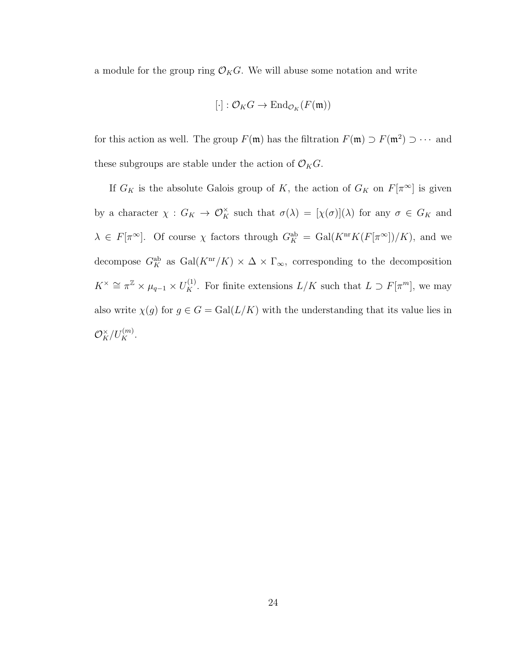a module for the group ring  $\mathcal{O}_KG$ . We will abuse some notation and write

$$
[\cdot]: \mathcal{O}_KG \to \mathrm{End}_{\mathcal{O}_K}(F(\mathfrak{m}))
$$

for this action as well. The group  $F(\mathfrak{m})$  has the filtration  $F(\mathfrak{m}) \supset F(\mathfrak{m}^2) \supset \cdots$  and these subgroups are stable under the action of  $\mathcal{O}_K G$ .

If  $G_K$  is the absolute Galois group of K, the action of  $G_K$  on  $F[\pi^\infty]$  is given by a character  $\chi: G_K \to \mathcal{O}_K^{\times}$  such that  $\sigma(\lambda) = [\chi(\sigma)](\lambda)$  for any  $\sigma \in G_K$  and  $\lambda \in F[\pi^{\infty}]$ . Of course  $\chi$  factors through  $G_K^{\text{ab}} = \text{Gal}(K^{\text{nr}}K(F[\pi^{\infty}])/K)$ , and we decompose  $G_K^{\text{ab}}$  as  $\text{Gal}(K^{\text{nr}}/K) \times \Delta \times \Gamma_{\infty}$ , corresponding to the decomposition  $K^{\times} \cong \pi^{\mathbb{Z}} \times \mu_{q-1} \times U_K^{(1)}$ . For finite extensions  $L/K$  such that  $L \supset F[\pi^m]$ , we may also write  $\chi(g)$  for  $g \in G = \text{Gal}(L/K)$  with the understanding that its value lies in  $\mathcal{O}_K^{\times}/U_K^{(m)}.$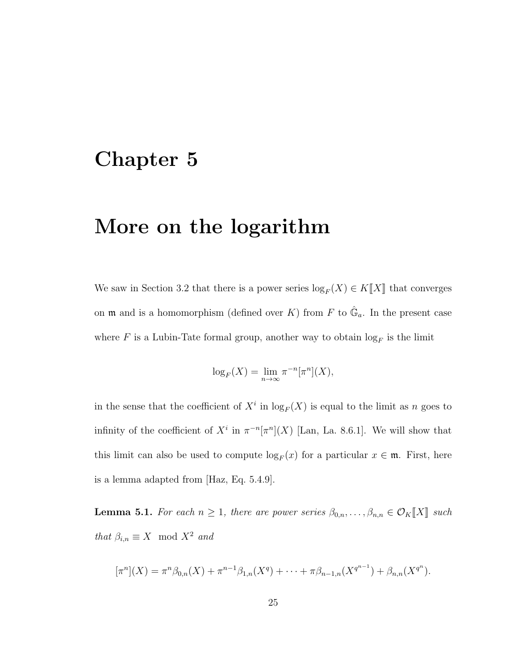### Chapter 5

### More on the logarithm

We saw in Section 3.2 that there is a power series  $\log_F(X) \in K[[X]]$  that converges on  $\mathfrak m$  and is a homomorphism (defined over K) from F to  $\hat{\mathbb G}_a$ . In the present case where F is a Lubin-Tate formal group, another way to obtain  $log_F$  is the limit

$$
\log_F(X) = \lim_{n \to \infty} \pi^{-n} [\pi^n](X),
$$

in the sense that the coefficient of  $X^i$  in  $\log_F(X)$  is equal to the limit as n goes to infinity of the coefficient of  $X^i$  in  $\pi^{-n}[\pi^n](X)$  [Lan, La. 8.6.1]. We will show that this limit can also be used to compute  $\log_F(x)$  for a particular  $x \in \mathfrak{m}$ . First, here is a lemma adapted from [Haz, Eq. 5.4.9].

**Lemma 5.1.** For each  $n \geq 1$ , there are power series  $\beta_{0,n}, \ldots, \beta_{n,n} \in \mathcal{O}_K[[X]]$  such that  $\beta_{i,n} \equiv X \mod X^2$  and

$$
[\pi^n](X) = \pi^n \beta_{0,n}(X) + \pi^{n-1} \beta_{1,n}(X^q) + \cdots + \pi \beta_{n-1,n}(X^{q^{n-1}}) + \beta_{n,n}(X^{q^n}).
$$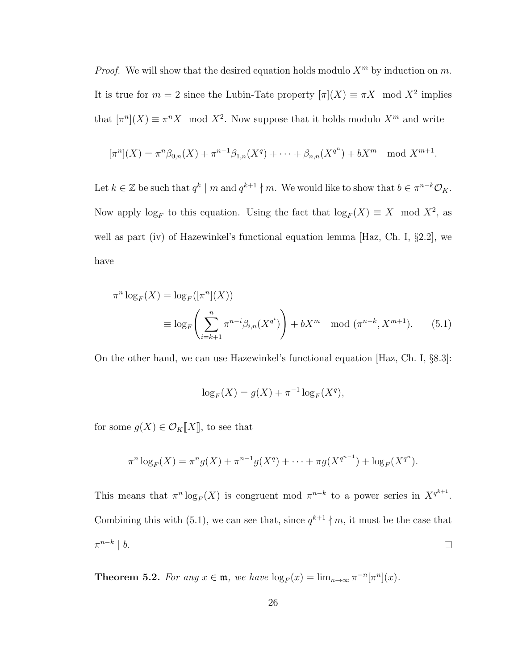*Proof.* We will show that the desired equation holds modulo  $X^m$  by induction on m. It is true for  $m = 2$  since the Lubin-Tate property  $[\pi](X) \equiv \pi X \mod X^2$  implies that  $[\pi^n](X) \equiv \pi^n X \mod X^2$ . Now suppose that it holds modulo  $X^m$  and write

$$
[\pi^n](X) = \pi^n \beta_{0,n}(X) + \pi^{n-1} \beta_{1,n}(X^q) + \cdots + \beta_{n,n}(X^{q^n}) + bX^m \mod X^{m+1}.
$$

Let  $k \in \mathbb{Z}$  be such that  $q^k \mid m$  and  $q^{k+1} \nmid m$ . We would like to show that  $b \in \pi^{n-k} \mathcal{O}_K$ . Now apply  $log_F$  to this equation. Using the fact that  $log_F(X) \equiv X \mod X^2$ , as well as part (iv) of Hazewinkel's functional equation lemma [Haz, Ch. I, §2.2], we have

$$
\pi^n \log_F(X) = \log_F([\pi^n](X))
$$
  
\n
$$
\equiv \log_F\left(\sum_{i=k+1}^n \pi^{n-i} \beta_{i,n}(X^{q^i})\right) + bX^m \mod (\pi^{n-k}, X^{m+1}).
$$
 (5.1)

On the other hand, we can use Hazewinkel's functional equation [Haz, Ch. I, §8.3]:

$$
\log_F(X) = g(X) + \pi^{-1} \log_F(X^q),
$$

for some  $g(X) \in \mathcal{O}_K[[X]]$ , to see that

$$
\pi^n \log_F(X) = \pi^n g(X) + \pi^{n-1} g(X^q) + \dots + \pi g(X^{q^{n-1}}) + \log_F(X^{q^n}).
$$

This means that  $\pi^n \log_F(X)$  is congruent mod  $\pi^{n-k}$  to a power series in  $X^{q^{k+1}}$ . Combining this with (5.1), we can see that, since  $q^{k+1} \nmid m$ , it must be the case that  $\pi^{n-k} \mid b.$  $\Box$ 

**Theorem 5.2.** For any  $x \in \mathfrak{m}$ , we have  $\log_F(x) = \lim_{n \to \infty} \pi^{-n}[\pi^n](x)$ .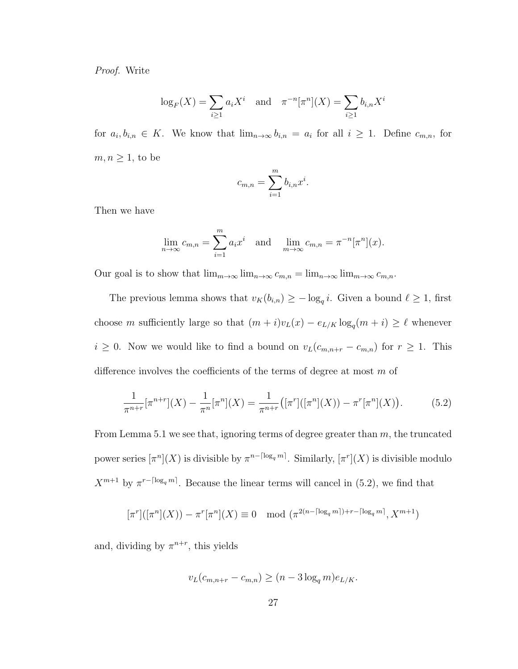Proof. Write

$$
\log_F(X) = \sum_{i \ge 1} a_i X^i
$$
 and  $\pi^{-n}[\pi^n](X) = \sum_{i \ge 1} b_{i,n} X^i$ 

for  $a_i, b_{i,n} \in K$ . We know that  $\lim_{n\to\infty} b_{i,n} = a_i$  for all  $i \geq 1$ . Define  $c_{m,n}$ , for  $m, n \geq 1$ , to be

$$
c_{m,n} = \sum_{i=1}^{m} b_{i,n} x^i.
$$

Then we have

$$
\lim_{n \to \infty} c_{m,n} = \sum_{i=1}^m a_i x^i \text{ and } \lim_{m \to \infty} c_{m,n} = \pi^{-n} [\pi^n](x).
$$

Our goal is to show that  $\lim_{m\to\infty} \lim_{n\to\infty} c_{m,n} = \lim_{n\to\infty} \lim_{m\to\infty} c_{m,n}$ .

The previous lemma shows that  $v_K(b_{i,n}) \geq -\log_q i$ . Given a bound  $\ell \geq 1$ , first choose m sufficiently large so that  $(m + i)v_L(x) - e_{L/K} \log_q(m + i) \geq \ell$  whenever  $i \geq 0$ . Now we would like to find a bound on  $v_L(c_{m,n+r} - c_{m,n})$  for  $r \geq 1$ . This difference involves the coefficients of the terms of degree at most  $m$  of

$$
\frac{1}{\pi^{n+r}}[\pi^{n+r}](X) - \frac{1}{\pi^n}[\pi^n](X) = \frac{1}{\pi^{n+r}}([\pi^r]([\pi^n](X)) - \pi^r[\pi^n](X)).
$$
 (5.2)

From Lemma 5.1 we see that, ignoring terms of degree greater than  $m$ , the truncated power series  $\lceil \pi^n \rceil(X)$  is divisible by  $\pi^{n-\lceil \log_q m \rceil}$ . Similarly,  $\lceil \pi^n \rceil(X)$  is divisible modulo  $X^{m+1}$  by  $\pi^{r-\lceil \log_q m \rceil}$ . Because the linear terms will cancel in (5.2), we find that

$$
[\pi^r]([\pi^n](X)) - \pi^r[\pi^n](X) \equiv 0 \mod (\pi^{2(n - \lceil \log_q m \rceil) + r - \lceil \log_q m \rceil}, X^{m+1})
$$

and, dividing by  $\pi^{n+r}$ , this yields

$$
v_L(c_{m,n+r} - c_{m,n}) \ge (n - 3\log_q m)e_{L/K}.
$$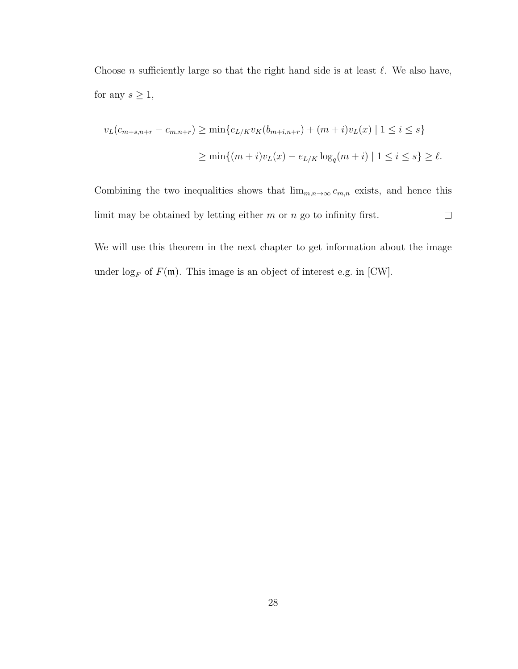Choose n sufficiently large so that the right hand side is at least  $\ell$ . We also have, for any  $s \geq 1$ ,

$$
v_L(c_{m+s,n+r} - c_{m,n+r}) \ge \min\{e_{L/K}v_K(b_{m+i,n+r}) + (m+i)v_L(x) \mid 1 \le i \le s\}
$$
  

$$
\ge \min\{(m+i)v_L(x) - e_{L/K}\log_q(m+i) \mid 1 \le i \le s\} \ge \ell.
$$

Combining the two inequalities shows that  $\lim_{m,n\to\infty} c_{m,n}$  exists, and hence this limit may be obtained by letting either  $m$  or  $n$  go to infinity first.  $\Box$ 

We will use this theorem in the next chapter to get information about the image under  $\log_F$  of  $F(\mathfrak{m})$ . This image is an object of interest e.g. in [CW].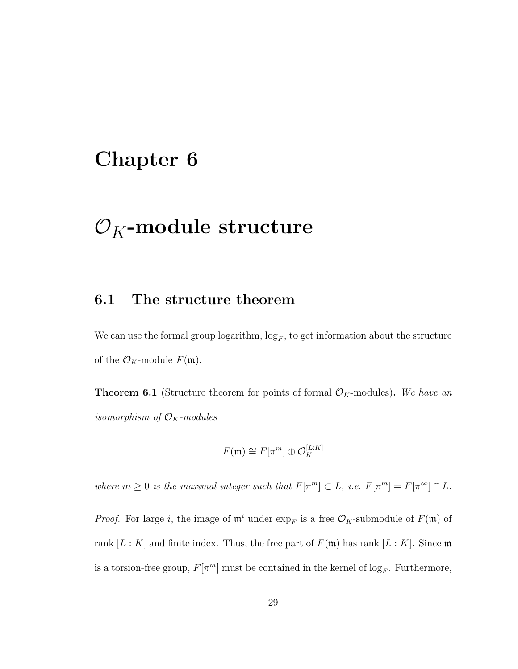### Chapter 6

### $\mathcal{O}_K$ -module structure

#### 6.1 The structure theorem

We can use the formal group logarithm,  $\log_F$ , to get information about the structure of the  $\mathcal{O}_K$ -module  $F(\mathfrak{m})$ .

**Theorem 6.1** (Structure theorem for points of formal  $\mathcal{O}_K$ -modules). We have an isomorphism of  $\mathcal{O}_K$ -modules

$$
F(\mathfrak{m}) \cong F[\pi^m] \oplus \mathcal{O}_K^{[L:K]}
$$

where  $m \geq 0$  is the maximal integer such that  $F[\pi^m] \subset L$ , i.e.  $F[\pi^m] = F[\pi^{\infty}] \cap L$ .

*Proof.* For large i, the image of  $\mathfrak{m}^i$  under  $\exp_F$  is a free  $\mathcal{O}_K$ -submodule of  $F(\mathfrak{m})$  of rank  $[L: K]$  and finite index. Thus, the free part of  $F(\mathfrak{m})$  has rank  $[L: K]$ . Since  $\mathfrak{m}$ is a torsion-free group,  $F[\pi^m]$  must be contained in the kernel of  $\log_F$ . Furthermore,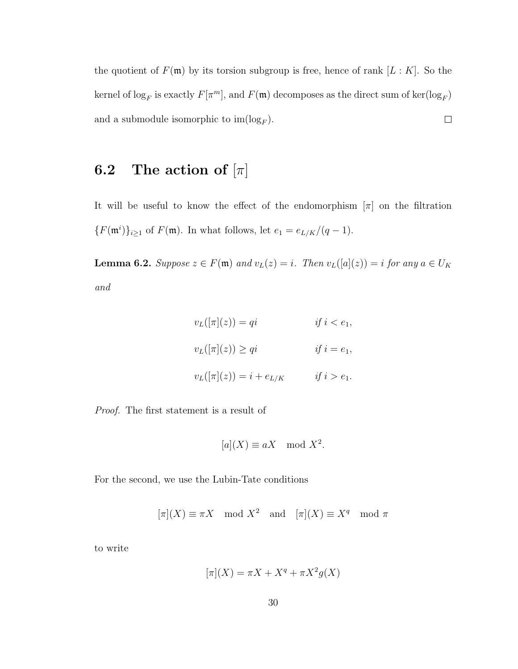the quotient of  $F(\mathfrak{m})$  by its torsion subgroup is free, hence of rank  $[L:K]$ . So the kernel of  $\log_F$  is exactly  $F[\pi^m]$ , and  $F(\mathfrak{m})$  decomposes as the direct sum of  $\ker(\log_F)$ and a submodule isomorphic to  $\text{im}(\log_F)$ .  $\Box$ 

### 6.2 The action of  $[\pi]$

It will be useful to know the effect of the endomorphism  $[\pi]$  on the filtration  ${F(\mathfrak{m}^i)}_{i\geq 1}$  of  $F(\mathfrak{m})$ . In what follows, let  $e_1 = e_{L/K}/(q-1)$ .

**Lemma 6.2.** Suppose  $z \in F(\mathfrak{m})$  and  $v_L(z) = i$ . Then  $v_L([a](z)) = i$  for any  $a \in U_K$ and

$$
v_L([\pi](z)) = qi \t\t if i < e_1,
$$
  

$$
v_L([\pi](z)) \ge qi \t\t if i = e_1,
$$
  

$$
v_L([\pi](z)) = i + e_{L/K} \t\t if i > e_1.
$$

Proof. The first statement is a result of

$$
[a](X) \equiv aX \mod X^2.
$$

For the second, we use the Lubin-Tate conditions

$$
[\pi](X) \equiv \pi X \mod X^2
$$
 and  $[\pi](X) \equiv X^q \mod \pi$ 

to write

$$
[\pi](X) = \pi X + X^q + \pi X^2 g(X)
$$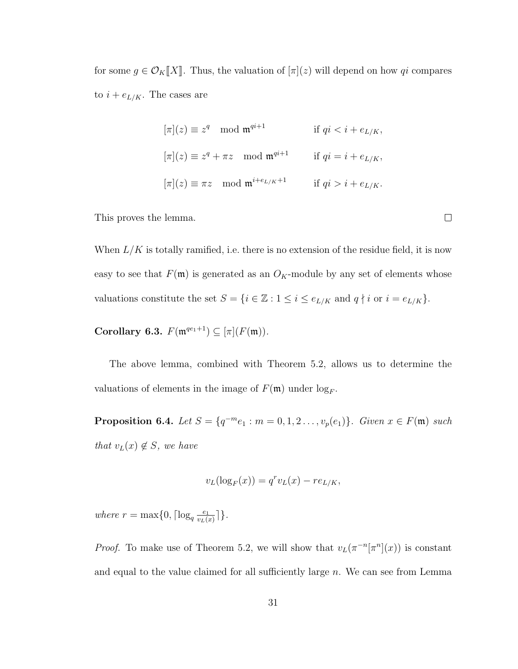for some  $g \in \mathcal{O}_K[[X]]$ . Thus, the valuation of  $[\pi](z)$  will depend on how qi compares to  $i + e_{L/K}$ . The cases are

$$
[\pi](z) \equiv z^q \mod \mathfrak{m}^{qi+1} \quad \text{if } qi < i + e_{L/K},
$$
  

$$
[\pi](z) \equiv z^q + \pi z \mod \mathfrak{m}^{qi+1} \quad \text{if } qi = i + e_{L/K},
$$
  

$$
[\pi](z) \equiv \pi z \mod \mathfrak{m}^{i+e_{L/K}+1} \quad \text{if } qi > i + e_{L/K}.
$$

This proves the lemma.

When  $L/K$  is totally ramified, i.e. there is no extension of the residue field, it is now easy to see that  $F(\mathfrak{m})$  is generated as an  $O_K$ -module by any set of elements whose valuations constitute the set  $S = \{i \in \mathbb{Z} : 1 \leq i \leq e_{L/K} \text{ and } q \nmid i \text{ or } i = e_{L/K}\}.$ 

Corollary 6.3.  $F(\mathfrak{m}^{qe_1+1}) \subseteq [\pi](F(\mathfrak{m})).$ 

The above lemma, combined with Theorem 5.2, allows us to determine the valuations of elements in the image of  $F(\mathfrak{m})$  under  $\log_F$ .

**Proposition 6.4.** Let  $S = \{q^{-m}e_1 : m = 0, 1, 2, ..., v_p(e_1)\}\$ . Given  $x \in F(\mathfrak{m})$  such that  $v_L(x) \notin S$ , we have

$$
v_L(\log_F(x)) = q^r v_L(x) - r e_{L/K},
$$

where  $r = \max\{0, \lceil \log_q \frac{e_1}{v_L(s)}\rceil\}$  $\frac{e_1}{v_L(x)}\rceil$ .

*Proof.* To make use of Theorem 5.2, we will show that  $v_L(\pi^{-n}[\pi^n](x))$  is constant and equal to the value claimed for all sufficiently large  $n$ . We can see from Lemma

 $\Box$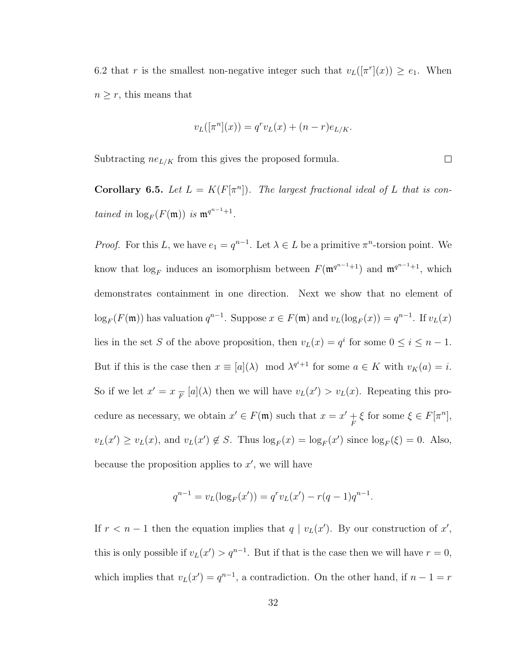6.2 that r is the smallest non-negative integer such that  $v_L([\pi^r](x)) \ge e_1$ . When  $n \geq r$ , this means that

$$
v_L([\pi^n](x)) = q^r v_L(x) + (n-r)e_{L/K}.
$$

 $\Box$ 

Subtracting  $ne_{L/K}$  from this gives the proposed formula.

**Corollary 6.5.** Let  $L = K(F[\pi^n])$ . The largest fractional ideal of L that is contained in  $\log_F(F(\mathfrak{m}))$  is  $\mathfrak{m}^{q^{n-1}+1}$ .

*Proof.* For this L, we have  $e_1 = q^{n-1}$ . Let  $\lambda \in L$  be a primitive  $\pi^n$ -torsion point. We know that  $log_F$  induces an isomorphism between  $F(\mathfrak{m}^{q^{n-1}+1})$  and  $\mathfrak{m}^{q^{n-1}+1}$ , which demonstrates containment in one direction. Next we show that no element of  $\log_F(F(\mathfrak{m}))$  has valuation  $q^{n-1}$ . Suppose  $x \in F(\mathfrak{m})$  and  $v_L(\log_F(x)) = q^{n-1}$ . If  $v_L(x)$ lies in the set S of the above proposition, then  $v_L(x) = q^i$  for some  $0 \le i \le n - 1$ . But if this is the case then  $x \equiv [a](\lambda) \mod \lambda^{q^i+1}$  for some  $a \in K$  with  $v_K(a) = i$ . So if we let  $x' = x \frac{1}{F} [a](\lambda)$  then we will have  $v_L(x') > v_L(x)$ . Repeating this procedure as necessary, we obtain  $x' \in F(\mathfrak{m})$  such that  $x = x' + \xi$  for some  $\xi \in F[\pi^n]$ ,  $v_L(x') \ge v_L(x)$ , and  $v_L(x') \notin S$ . Thus  $\log_F(x) = \log_F(x')$  since  $\log_F(\xi) = 0$ . Also, because the proposition applies to  $x'$ , we will have

$$
q^{n-1} = v_L(\log_F(x')) = q^r v_L(x') - r(q-1)q^{n-1}.
$$

If  $r < n-1$  then the equation implies that  $q | v_L(x')$ . By our construction of x', this is only possible if  $v_L(x') > q^{n-1}$ . But if that is the case then we will have  $r = 0$ , which implies that  $v_L(x') = q^{n-1}$ , a contradiction. On the other hand, if  $n-1 = r$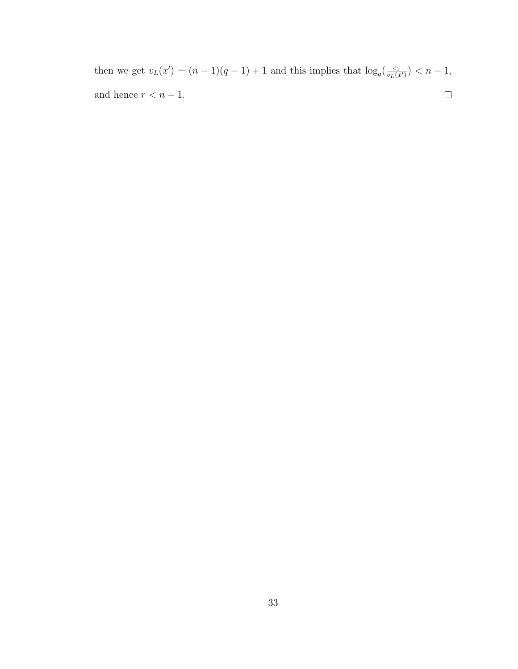then we get  $v_L(x') = (n-1)(q-1) + 1$  and this implies that  $\log_q(\frac{e_1}{v_L(x)})$  $\frac{e_1}{v_L(x')}$  >  $n-1$ , and hence  $r < n - 1$ .  $\hfill \square$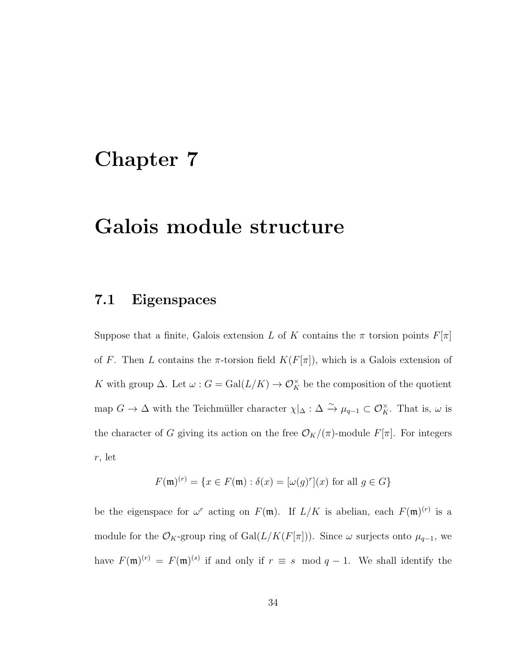### Chapter 7

### Galois module structure

### 7.1 Eigenspaces

Suppose that a finite, Galois extension L of K contains the  $\pi$  torsion points  $F[\pi]$ of F. Then L contains the  $\pi$ -torsion field  $K(F[\pi])$ , which is a Galois extension of K with group  $\Delta$ . Let  $\omega$ :  $G = \text{Gal}(L/K) \to \mathcal{O}_K^{\times}$  be the composition of the quotient map  $G \to \Delta$  with the Teichmüller character  $\chi|_{\Delta} : \Delta \overset{\sim}{\to} \mu_{q-1} \subset \mathcal{O}_K^{\times}$ . That is,  $\omega$  is the character of G giving its action on the free  $\mathcal{O}_K/(\pi)$ -module  $F[\pi]$ . For integers r, let

$$
F(\mathfrak{m})^{(r)} = \{ x \in F(\mathfrak{m}) : \delta(x) = [\omega(g)^r](x) \text{ for all } g \in G \}
$$

be the eigenspace for  $\omega^r$  acting on  $F(\mathfrak{m})$ . If  $L/K$  is abelian, each  $F(\mathfrak{m})^{(r)}$  is a module for the  $\mathcal{O}_K$ -group ring of Gal $(L/K(F[\pi]))$ . Since  $\omega$  surjects onto  $\mu_{q-1}$ , we have  $F(\mathfrak{m})^{(r)} = F(\mathfrak{m})^{(s)}$  if and only if  $r \equiv s \mod q - 1$ . We shall identify the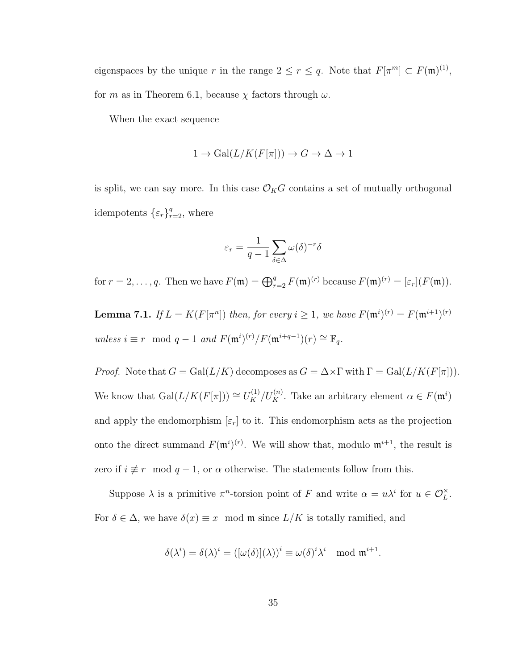eigenspaces by the unique r in the range  $2 \le r \le q$ . Note that  $F[\pi^m] \subset F(\mathfrak{m})^{(1)}$ , for m as in Theorem 6.1, because  $\chi$  factors through  $\omega$ .

When the exact sequence

$$
1 \to \text{Gal}(L/K(F[\pi])) \to G \to \Delta \to 1
$$

is split, we can say more. In this case  $\mathcal{O}_KG$  contains a set of mutually orthogonal idempotents  $\{\varepsilon_r\}_{r=2}^q$ , where

$$
\varepsilon_r = \frac{1}{q-1} \sum_{\delta \in \Delta} \omega(\delta)^{-r} \delta
$$

for  $r = 2, \ldots, q$ . Then we have  $F(\mathfrak{m}) = \bigoplus_{r=2}^q F(\mathfrak{m})^{(r)}$  because  $F(\mathfrak{m})^{(r)} = [\varepsilon_r](F(\mathfrak{m}))$ .

**Lemma 7.1.** If  $L = K(F[\pi^n])$  then, for every  $i \geq 1$ , we have  $F(\mathfrak{m}^i)^{(r)} = F(\mathfrak{m}^{i+1})^{(r)}$ unless  $i \equiv r \mod q - 1$  and  $F(\mathfrak{m}^{i})^{(r)}/F(\mathfrak{m}^{i+q-1})(r) \cong \mathbb{F}_q$ .

*Proof.* Note that  $G = \text{Gal}(L/K)$  decomposes as  $G = \Delta \times \Gamma$  with  $\Gamma = \text{Gal}(L/K(F[\pi]))$ . We know that  $Gal(L/K(F[\pi])) \cong U_K^{(1)}/U_K^{(n)}$ . Take an arbitrary element  $\alpha \in F(\mathfrak{m}^i)$ and apply the endomorphism  $[\varepsilon_r]$  to it. This endomorphism acts as the projection onto the direct summand  $F(\mathfrak{m}^{i})^{(r)}$ . We will show that, modulo  $\mathfrak{m}^{i+1}$ , the result is zero if  $i \not\equiv r \mod q - 1$ , or  $\alpha$  otherwise. The statements follow from this.

Suppose  $\lambda$  is a primitive  $\pi^n$ -torsion point of F and write  $\alpha = u\lambda^i$  for  $u \in \mathcal{O}_L^{\times}$ . For  $\delta \in \Delta$ , we have  $\delta(x) \equiv x \mod \mathfrak{m}$  since  $L/K$  is totally ramified, and

$$
\delta(\lambda^i) = \delta(\lambda)^i = \left( [\omega(\delta)](\lambda) \right)^i \equiv \omega(\delta)^i \lambda^i \mod \mathfrak{m}^{i+1}.
$$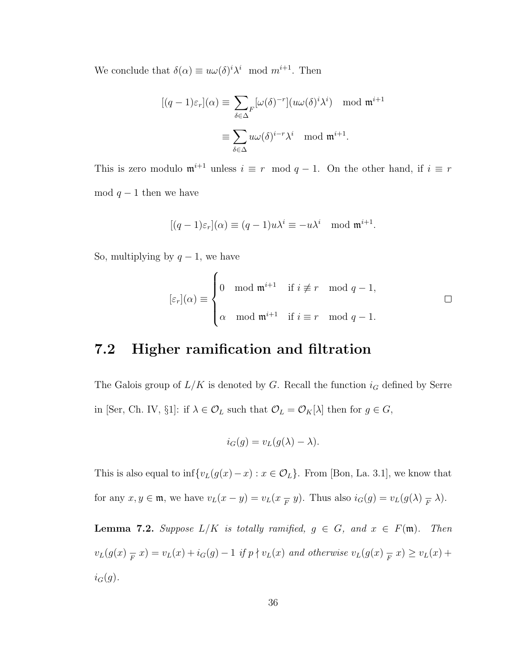We conclude that  $\delta(\alpha) \equiv u\omega(\delta)^i \lambda^i \mod m^{i+1}$ . Then

$$
[(q-1)\varepsilon_r](\alpha) \equiv \sum_{\delta \in \Delta} F^{[\omega(\delta)^{-r}](u\omega(\delta)^i \lambda^i) \mod \mathfrak{m}^{i+1}}
$$

$$
\equiv \sum_{\delta \in \Delta} u\omega(\delta)^{i-r} \lambda^i \mod \mathfrak{m}^{i+1}.
$$

This is zero modulo  $\mathfrak{m}^{i+1}$  unless  $i \equiv r \mod q - 1$ . On the other hand, if  $i \equiv r$ mod  $q-1$  then we have

$$
[(q-1)\varepsilon_r](\alpha) \equiv (q-1)u\lambda^i \equiv -u\lambda^i \mod \mathfrak{m}^{i+1}.
$$

So, multiplying by  $q-1$ , we have

$$
[\varepsilon_r](\alpha) \equiv \begin{cases} 0 & \text{mod } \mathfrak{m}^{i+1} & \text{if } i \not\equiv r \mod q - 1, \\ \\ \alpha \mod \mathfrak{m}^{i+1} & \text{if } i \equiv r \mod q - 1. \end{cases} \square
$$

### 7.2 Higher ramification and filtration

The Galois group of  $L/K$  is denoted by G. Recall the function  $i_G$  defined by Serre in [Ser, Ch. IV, §1]: if  $\lambda \in \mathcal{O}_L$  such that  $\mathcal{O}_L = \mathcal{O}_K[\lambda]$  then for  $g \in G$ ,

$$
i_G(g) = v_L(g(\lambda) - \lambda).
$$

This is also equal to  $\inf \{v_L(g(x)-x) : x \in \mathcal{O}_L\}$ . From [Bon, La. 3.1], we know that for any  $x, y \in \mathfrak{m}$ , we have  $v_L(x - y) = v_L(x - y)$ . Thus also  $i_G(g) = v_L(g(\lambda) - \lambda)$ .

**Lemma 7.2.** Suppose  $L/K$  is totally ramified,  $g \in G$ , and  $x \in F(\mathfrak{m})$ . Then  $v_L(g(x)_{\overline{F}} x) = v_L(x) + i_G(g) - 1$  if  $p \nmid v_L(x)$  and otherwise  $v_L(g(x)_{\overline{F}} x) \ge v_L(x) +$  $i_G(g)$ .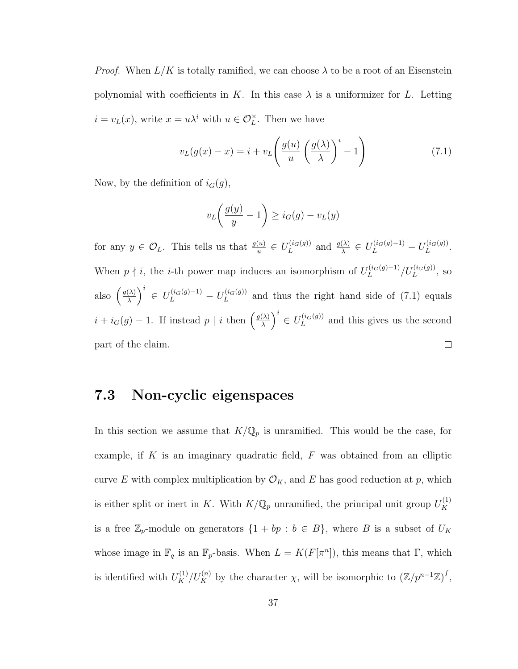*Proof.* When  $L/K$  is totally ramified, we can choose  $\lambda$  to be a root of an Eisenstein polynomial with coefficients in K. In this case  $\lambda$  is a uniformizer for L. Letting  $i = v_L(x)$ , write  $x = u\lambda^i$  with  $u \in \mathcal{O}_L^{\times}$ . Then we have

$$
v_L(g(x) - x) = i + v_L \left(\frac{g(u)}{u} \left(\frac{g(\lambda)}{\lambda}\right)^i - 1\right)
$$
\n(7.1)

Now, by the definition of  $i_G(g)$ ,

$$
v_L\left(\frac{g(y)}{y} - 1\right) \ge i_G(g) - v_L(y)
$$

for any  $y \in \mathcal{O}_L$ . This tells us that  $\frac{g(u)}{u} \in U_L^{(i_G(g))}$  $L^{(i_G(g))}$  and  $\frac{g(\lambda)}{\lambda} \in U_L^{(i_G(g)-1)} - U_L^{(i_G(g))}$  $L^{(lG(g))}.$ When  $p \nmid i$ , the *i*-th power map induces an isomorphism of  $U_L^{(i_G(g)-1)}$  $\frac{L^{(i_G(g)-1)}/U_L^{(i_G(g))}}{L}$ , so  $\left(\frac{\lambda}{\lambda}\right)^i \in U_L^{(i_G(g)-1)} - U_L^{(i_G(g))}$ also  $\left(\frac{g(\lambda)}{\lambda}\right)$  $L^{(i_G(g))}$  and thus the right hand side of (7.1) equals  $\left(\frac{\lambda}{\lambda}\right)^i \in U_L^{(i_G(g))}$  $i + i_G(g) - 1$ . If instead  $p \mid i$  then  $\left(\frac{g(\lambda)}{\lambda}\right)$  $L^{(i_G(g))}$  and this gives us the second part of the claim.  $\Box$ 

#### 7.3 Non-cyclic eigenspaces

In this section we assume that  $K/\mathbb{Q}_p$  is unramified. This would be the case, for example, if  $K$  is an imaginary quadratic field,  $F$  was obtained from an elliptic curve E with complex multiplication by  $\mathcal{O}_K$ , and E has good reduction at p, which is either split or inert in K. With  $K/\mathbb{Q}_p$  unramified, the principal unit group  $U_K^{(1)}$ K is a free  $\mathbb{Z}_p$ -module on generators  $\{1 + bp : b \in B\}$ , where B is a subset of  $U_K$ whose image in  $\mathbb{F}_q$  is an  $\mathbb{F}_p$ -basis. When  $L = K(F[\pi^n])$ , this means that  $\Gamma$ , which is identified with  $U_K^{(1)}/U_K^{(n)}$  by the character  $\chi$ , will be isomorphic to  $(\mathbb{Z}/p^{n-1}\mathbb{Z})^f$ ,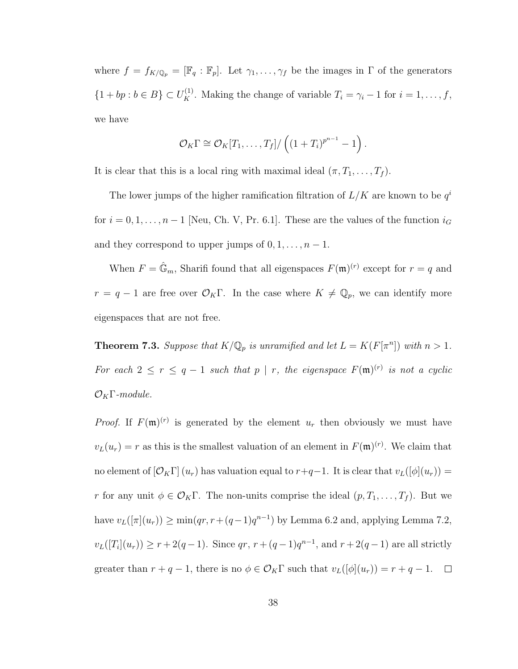where  $f = f_{K/\mathbb{Q}_p} = [\mathbb{F}_q : \mathbb{F}_p]$ . Let  $\gamma_1, \ldots, \gamma_f$  be the images in  $\Gamma$  of the generators  $\{1 + bp : b \in B\} \subset U_K^{(1)}$ . Making the change of variable  $T_i = \gamma_i - 1$  for  $i = 1, \ldots, f$ , we have

$$
\mathcal{O}_K\Gamma \cong \mathcal{O}_K[T_1,\ldots,T_f]/\left((1+T_i)^{p^{n-1}}-1\right).
$$

It is clear that this is a local ring with maximal ideal  $(\pi, T_1, \ldots, T_f)$ .

The lower jumps of the higher ramification filtration of  $L/K$  are known to be  $q<sup>i</sup>$ for  $i = 0, 1, \ldots, n - 1$  [Neu, Ch. V, Pr. 6.1]. These are the values of the function  $i_G$ and they correspond to upper jumps of  $0, 1, \ldots, n - 1$ .

When  $F = \hat{\mathbb{G}}_m$ , Sharifi found that all eigenspaces  $F(\mathfrak{m})^{(r)}$  except for  $r = q$  and  $r = q - 1$  are free over  $\mathcal{O}_K \Gamma$ . In the case where  $K \neq \mathbb{Q}_p$ , we can identify more eigenspaces that are not free.

**Theorem 7.3.** Suppose that  $K/\mathbb{Q}_p$  is unramified and let  $L = K(F[\pi^n])$  with  $n > 1$ . For each  $2 \le r \le q-1$  such that  $p \mid r$ , the eigenspace  $F(\mathfrak{m})^{(r)}$  is not a cyclic  $\mathcal{O}_K\Gamma$ -module.

*Proof.* If  $F(\mathfrak{m})^{(r)}$  is generated by the element  $u_r$  then obviously we must have  $v_L(u_r) = r$  as this is the smallest valuation of an element in  $F(\mathfrak{m})^{(r)}$ . We claim that no element of  $[\mathcal{O}_K\Gamma](u_r)$  has valuation equal to  $r+q-1$ . It is clear that  $v_L([\phi](u_r)) =$ r for any unit  $\phi \in \mathcal{O}_K \Gamma$ . The non-units comprise the ideal  $(p, T_1, \ldots, T_f)$ . But we have  $v_L([\pi](u_r)) \ge \min(qr, r + (q-1)q^{n-1})$  by Lemma 6.2 and, applying Lemma 7.2,  $v_L([T_i](u_r)) \ge r + 2(q-1)$ . Since  $qr, r + (q-1)q^{n-1}$ , and  $r + 2(q-1)$  are all strictly greater than  $r + q - 1$ , there is no  $\phi \in \mathcal{O}_K\Gamma$  such that  $v_L([\phi](u_r)) = r + q - 1$ .  $\Box$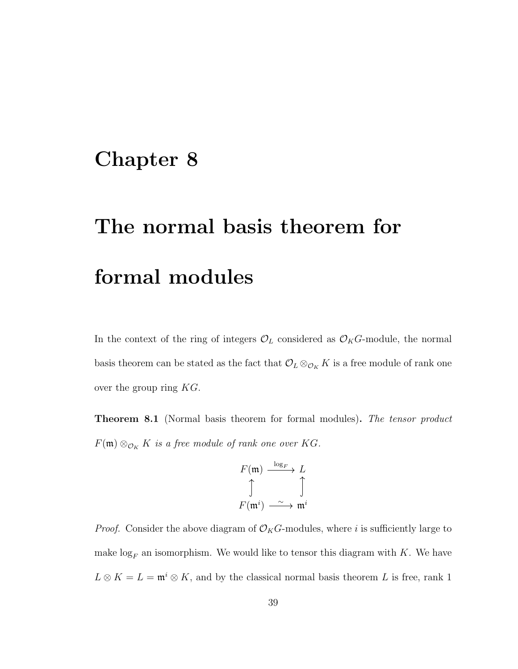### Chapter 8

# The normal basis theorem for formal modules

In the context of the ring of integers  $\mathcal{O}_L$  considered as  $\mathcal{O}_KG$ -module, the normal basis theorem can be stated as the fact that  $\mathcal{O}_L \otimes_{\mathcal{O}_K} K$  is a free module of rank one over the group ring  $KG$ .

**Theorem 8.1** (Normal basis theorem for formal modules). The tensor product  $F(\mathfrak{m}) \otimes_{\mathcal{O}_K} K$  is a free module of rank one over KG.

$$
F(\mathfrak{m}) \xrightarrow{\log_F} L
$$
  

$$
\uparrow \qquad \qquad \uparrow
$$
  

$$
F(\mathfrak{m}^i) \xrightarrow{\sim} \mathfrak{m}^i
$$

 $l_{\text{max}}$ 

*Proof.* Consider the above diagram of  $\mathcal{O}_K G$ -modules, where i is sufficiently large to make  $log_F$  an isomorphism. We would like to tensor this diagram with K. We have  $L \otimes K = L = \mathfrak{m}^i \otimes K$ , and by the classical normal basis theorem L is free, rank 1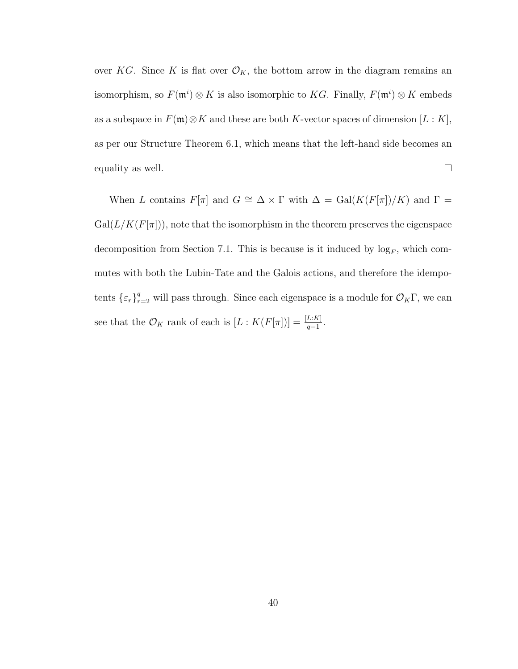over KG. Since K is flat over  $\mathcal{O}_K$ , the bottom arrow in the diagram remains an isomorphism, so  $F(\mathfrak{m}^i) \otimes K$  is also isomorphic to KG. Finally,  $F(\mathfrak{m}^i) \otimes K$  embeds as a subspace in  $F(\mathfrak{m})\otimes K$  and these are both K-vector spaces of dimension  $[L:K]$ , as per our Structure Theorem 6.1, which means that the left-hand side becomes an  $\Box$ equality as well.

When L contains  $F[\pi]$  and  $G \cong \Delta \times \Gamma$  with  $\Delta = \text{Gal}(K(F[\pi])/K)$  and  $\Gamma =$  $Gal(L/K(F[\pi]))$ , note that the isomorphism in the theorem preserves the eigenspace decomposition from Section 7.1. This is because is it induced by  $log_F$ , which commutes with both the Lubin-Tate and the Galois actions, and therefore the idempotents  $\{\varepsilon_r\}_{r=2}^q$  will pass through. Since each eigenspace is a module for  $\mathcal{O}_K\Gamma$ , we can see that the  $\mathcal{O}_K$  rank of each is  $[L:K(F[\pi])]=\frac{[L:K]}{q-1}$ .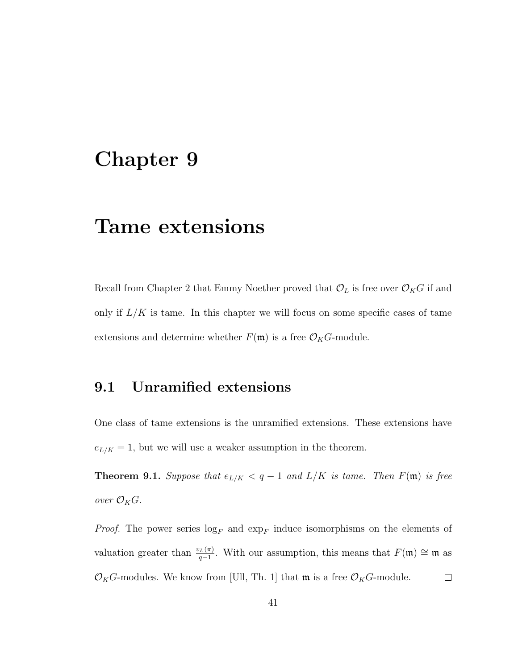### Chapter 9

### Tame extensions

Recall from Chapter 2 that Emmy Noether proved that  $\mathcal{O}_L$  is free over  $\mathcal{O}_KG$  if and only if  $L/K$  is tame. In this chapter we will focus on some specific cases of tame extensions and determine whether  $F(\mathfrak{m})$  is a free  $\mathcal{O}_K G$ -module.

### 9.1 Unramified extensions

One class of tame extensions is the unramified extensions. These extensions have  $e_{L/K} = 1$ , but we will use a weaker assumption in the theorem.

**Theorem 9.1.** Suppose that  $e_{L/K} < q-1$  and  $L/K$  is tame. Then  $F(\mathfrak{m})$  is free over  $\mathcal{O}_KG$ .

*Proof.* The power series  $log_F$  and  $exp_F$  induce isomorphisms on the elements of valuation greater than  $\frac{v_L(\pi)}{q-1}$ . With our assumption, this means that  $F(\mathfrak{m}) \cong \mathfrak{m}$  as  $\mathcal{O}_KG$ -modules. We know from [Ull, Th. 1] that  $\mathfrak{m}$  is a free  $\mathcal{O}_KG$ -module.  $\Box$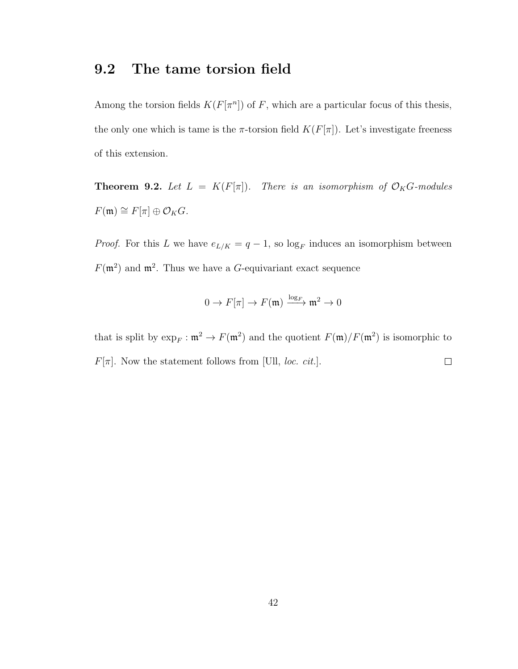#### 9.2 The tame torsion field

Among the torsion fields  $K(F[\pi^n])$  of F, which are a particular focus of this thesis, the only one which is tame is the  $\pi$ -torsion field  $K(F[\pi])$ . Let's investigate freeness of this extension.

**Theorem 9.2.** Let  $L = K(F[\pi])$ . There is an isomorphism of  $\mathcal{O}_KG$ -modules  $F(\mathfrak{m}) \cong F[\pi] \oplus \mathcal{O}_KG.$ 

*Proof.* For this L we have  $e_{L/K} = q - 1$ , so  $log_F$  induces an isomorphism between  $F(\mathfrak{m}^2)$  and  $\mathfrak{m}^2$ . Thus we have a G-equivariant exact sequence

$$
0 \to F[\pi] \to F(\mathfrak{m}) \xrightarrow{\log_F} \mathfrak{m}^2 \to 0
$$

that is split by  $\exp_F : \mathfrak{m}^2 \to F(\mathfrak{m}^2)$  and the quotient  $F(\mathfrak{m})/F(\mathfrak{m}^2)$  is isomorphic to  $F[\pi]$ . Now the statement follows from [Ull, *loc. cit.*].  $\Box$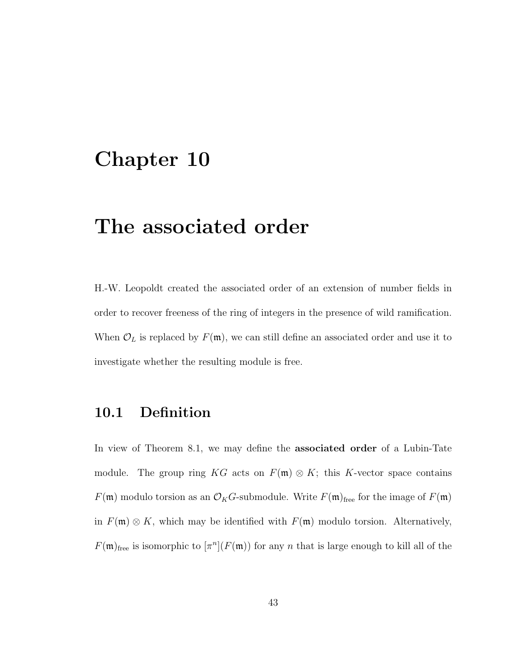### Chapter 10

### The associated order

H.-W. Leopoldt created the associated order of an extension of number fields in order to recover freeness of the ring of integers in the presence of wild ramification. When  $\mathcal{O}_L$  is replaced by  $F(\mathfrak{m})$ , we can still define an associated order and use it to investigate whether the resulting module is free.

### 10.1 Definition

In view of Theorem 8.1, we may define the associated order of a Lubin-Tate module. The group ring KG acts on  $F(\mathfrak{m}) \otimes K$ ; this K-vector space contains  $F(\mathfrak{m})$  modulo torsion as an  $\mathcal{O}_KG$ -submodule. Write  $F(\mathfrak{m})$ <sub>free</sub> for the image of  $F(\mathfrak{m})$ in  $F(\mathfrak{m}) \otimes K$ , which may be identified with  $F(\mathfrak{m})$  modulo torsion. Alternatively,  $F(\mathfrak{m})_{\text{free}}$  is isomorphic to  $[\pi^n](F(\mathfrak{m}))$  for any n that is large enough to kill all of the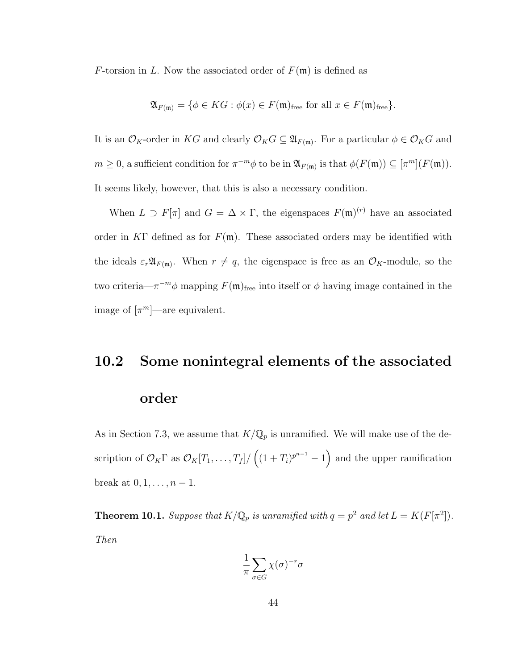F-torsion in L. Now the associated order of  $F(\mathfrak{m})$  is defined as

$$
\mathfrak{A}_{F(\mathfrak{m})} = \{ \phi \in KG : \phi(x) \in F(\mathfrak{m})_{\text{free}} \text{ for all } x \in F(\mathfrak{m})_{\text{free}} \}.
$$

It is an  $\mathcal{O}_K$ -order in KG and clearly  $\mathcal{O}_KG \subseteq \mathfrak{A}_{F(\mathfrak{m})}$ . For a particular  $\phi \in \mathcal{O}_KG$  and  $m \geq 0$ , a sufficient condition for  $\pi^{-m}\phi$  to be in  $\mathfrak{A}_{F(\mathfrak{m})}$  is that  $\phi(F(\mathfrak{m})) \subseteq [\pi^m](F(\mathfrak{m}))$ . It seems likely, however, that this is also a necessary condition.

When  $L \supset F[\pi]$  and  $G = \Delta \times \Gamma$ , the eigenspaces  $F(\mathfrak{m})^{(r)}$  have an associated order in KΓ defined as for  $F(\mathfrak{m})$ . These associated orders may be identified with the ideals  $\varepsilon_r \mathfrak{A}_{F(\mathfrak{m})}$ . When  $r \neq q$ , the eigenspace is free as an  $\mathcal{O}_K$ -module, so the two criteria— $\pi^{-m}\phi$  mapping  $F(\mathfrak{m})_{\text{free}}$  into itself or  $\phi$  having image contained in the image of  $\lbrack \pi^m \rbrack$  are equivalent.

#### 10.2 Some nonintegral elements of the associated

#### order

As in Section 7.3, we assume that  $K/\mathbb{Q}_p$  is unramified. We will make use of the description of  $\mathcal{O}_K \Gamma$  as  $\mathcal{O}_K[T_1,\ldots,T_f]/((1+T_i)^{p^{n-1}}-1)$  and the upper ramification break at  $0, 1, ..., n - 1$ .

**Theorem 10.1.** Suppose that  $K/\mathbb{Q}_p$  is unramified with  $q = p^2$  and let  $L = K(F[\pi^2])$ . Then

$$
\frac{1}{\pi} \sum_{\sigma \in G} \chi(\sigma)^{-r} \sigma
$$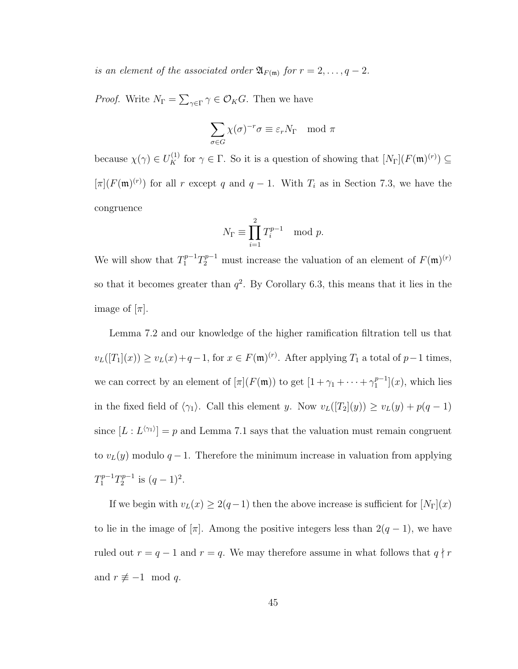is an element of the associated order  $\mathfrak{A}_{F(\mathfrak{m})}$  for  $r = 2, \ldots, q - 2$ .

*Proof.* Write  $N_{\Gamma} = \sum_{\gamma \in \Gamma} \gamma \in \mathcal{O}_K G$ . Then we have

$$
\sum_{\sigma \in G} \chi(\sigma)^{-r} \sigma \equiv \varepsilon_r N_\Gamma \mod \pi
$$

because  $\chi(\gamma) \in U_K^{(1)}$  for  $\gamma \in \Gamma$ . So it is a question of showing that  $[N_{\Gamma}](F(\mathfrak{m})^{(r)}) \subseteq$  $[\pi](F(\mathfrak{m})^{(r)})$  for all r except q and  $q-1$ . With  $T_i$  as in Section 7.3, we have the congruence

$$
N_{\Gamma} \equiv \prod_{i=1}^{2} T_i^{p-1} \mod p.
$$

We will show that  $T_1^{p-1}T_2^{p-1}$  must increase the valuation of an element of  $F(\mathfrak{m})^{(r)}$ so that it becomes greater than  $q^2$ . By Corollary 6.3, this means that it lies in the image of  $[\pi]$ .

Lemma 7.2 and our knowledge of the higher ramification filtration tell us that  $v_L([T_1](x)) \ge v_L(x) + q - 1$ , for  $x \in F(\mathfrak{m})^{(r)}$ . After applying  $T_1$  a total of  $p-1$  times, we can correct by an element of  $[\pi](F(\mathfrak{m}))$  to get  $[1 + \gamma_1 + \cdots + \gamma_1^{p-1}]$  $\binom{p-1}{1}(x)$ , which lies in the fixed field of  $\langle \gamma_1 \rangle$ . Call this element y. Now  $v_L([T_2](y)) \ge v_L(y) + p(q-1)$ since  $[L: L^{\langle \gamma_1 \rangle}] = p$  and Lemma 7.1 says that the valuation must remain congruent to  $v_L(y)$  modulo  $q-1$ . Therefore the minimum increase in valuation from applying  $T_1^{p-1}T_2^{p-1}$  $q^{p-1}$  is  $(q-1)^2$ .

If we begin with  $v_L(x) \geq 2(q-1)$  then the above increase is sufficient for  $[N_{\Gamma}](x)$ to lie in the image of [ $\pi$ ]. Among the positive integers less than 2( $q - 1$ ), we have ruled out  $r = q - 1$  and  $r = q$ . We may therefore assume in what follows that  $q \nmid r$ and  $r \not\equiv -1 \mod q$ .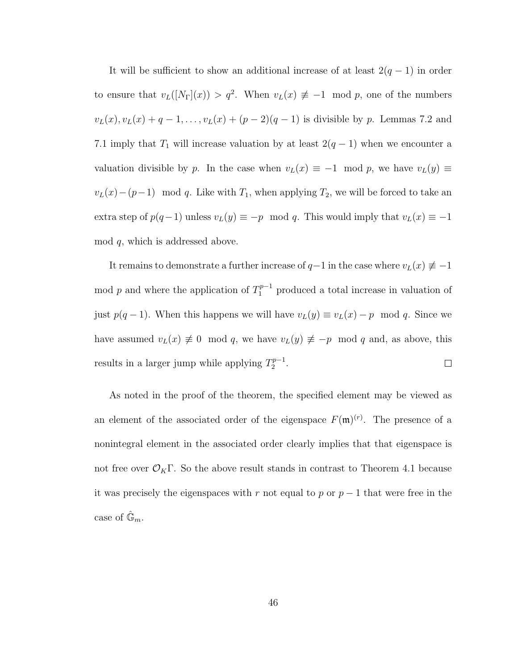It will be sufficient to show an additional increase of at least  $2(q - 1)$  in order to ensure that  $v_L([N_\Gamma](x)) > q^2$ . When  $v_L(x) \neq -1 \mod p$ , one of the numbers  $v_L(x), v_L(x) + q - 1, \ldots, v_L(x) + (p - 2)(q - 1)$  is divisible by p. Lemmas 7.2 and 7.1 imply that  $T_1$  will increase valuation by at least  $2(q-1)$  when we encounter a valuation divisible by p. In the case when  $v<sub>L</sub>(x) \equiv -1 \mod p$ , we have  $v<sub>L</sub>(y) \equiv$  $v_L(x) - (p-1) \mod q$ . Like with  $T_1$ , when applying  $T_2$ , we will be forced to take an extra step of  $p(q-1)$  unless  $v_L(y) \equiv -p \mod{q}$ . This would imply that  $v_L(x) \equiv -1$ mod q, which is addressed above.

It remains to demonstrate a further increase of  $q-1$  in the case where  $v_L(x) \neq -1$ mod p and where the application of  $T_1^{p-1}$  produced a total increase in valuation of just  $p(q-1)$ . When this happens we will have  $v_L(y) \equiv v_L(x) - p \mod q$ . Since we have assumed  $v<sub>L</sub>(x) \neq 0 \mod q$ , we have  $v<sub>L</sub>(y) \neq -p \mod q$  and, as above, this results in a larger jump while applying  $T_2^{p-1}$  $2^{p-1}$ .  $\Box$ 

As noted in the proof of the theorem, the specified element may be viewed as an element of the associated order of the eigenspace  $F(\mathfrak{m})^{(r)}$ . The presence of a nonintegral element in the associated order clearly implies that that eigenspace is not free over  $\mathcal{O}_K\Gamma$ . So the above result stands in contrast to Theorem 4.1 because it was precisely the eigenspaces with r not equal to p or  $p-1$  that were free in the case of  $\hat{\mathbb{G}}_m$ .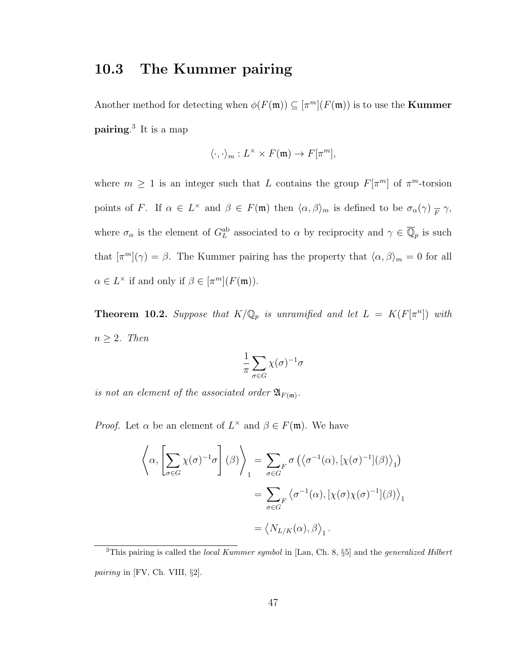### 10.3 The Kummer pairing

Another method for detecting when  $\phi(F(\mathfrak{m})) \subseteq [\pi^m](F(\mathfrak{m}))$  is to use the **Kummer** pairing. 3 It is a map

$$
\langle \cdot, \cdot \rangle_m : L^{\times} \times F(\mathfrak{m}) \to F[\pi^m],
$$

where  $m \geq 1$  is an integer such that L contains the group  $F[\pi^m]$  of  $\pi^m$ -torsion points of F. If  $\alpha \in L^{\times}$  and  $\beta \in F(\mathfrak{m})$  then  $\langle \alpha, \beta \rangle_m$  is defined to be  $\sigma_{\alpha}(\gamma)$   $\overline{F} \gamma$ , where  $\sigma_{\alpha}$  is the element of  $G_L^{ab}$  associated to  $\alpha$  by reciprocity and  $\gamma \in \overline{\mathbb{Q}}_p$  is such that  $[\pi^m](\gamma) = \beta$ . The Kummer pairing has the property that  $\langle \alpha, \beta \rangle_m = 0$  for all  $\alpha \in L^{\times}$  if and only if  $\beta \in [\pi^m](F(\mathfrak{m})).$ 

**Theorem 10.2.** Suppose that  $K/\mathbb{Q}_p$  is unramified and let  $L = K(F[\pi^n])$  with  $n \geq 2$ . Then

$$
\frac{1}{\pi}\sum_{\sigma\in G}\chi(\sigma)^{-1}\sigma
$$

is not an element of the associated order  $\mathfrak{A}_{F(\mathfrak{m})}$ .

*Proof.* Let  $\alpha$  be an element of  $L^{\times}$  and  $\beta \in F(\mathfrak{m})$ . We have

$$
\left\langle \alpha, \left[ \sum_{\sigma \in G} \chi(\sigma)^{-1} \sigma \right] (\beta) \right\rangle_{1} = \sum_{\sigma \in G} \sigma \left( \left\langle \sigma^{-1}(\alpha), [\chi(\sigma)^{-1}](\beta) \right\rangle_{1} \right)
$$

$$
= \sum_{\sigma \in G} \left\langle \sigma^{-1}(\alpha), [\chi(\sigma) \chi(\sigma)^{-1}](\beta) \right\rangle_{1}
$$

$$
= \left\langle N_{L/K}(\alpha), \beta \right\rangle_{1}.
$$

 $3$ This pairing is called the *local Kummer symbol* in [Lan, Ch. 8, §5] and the *generalized Hilbert* pairing in [FV, Ch. VIII, §2].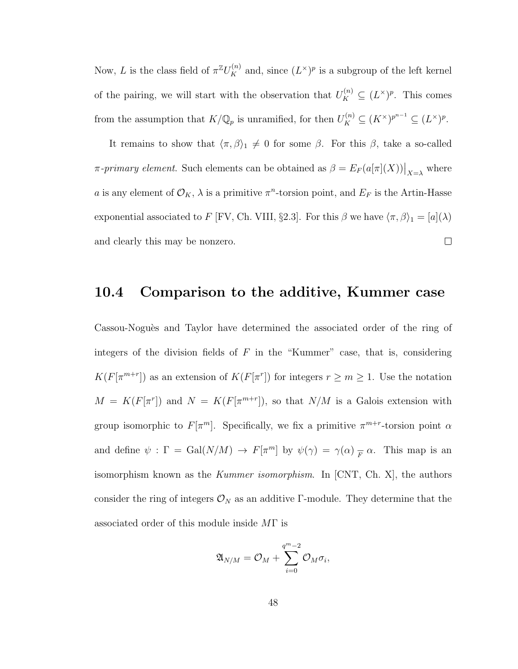Now, L is the class field of  $\pi^{\mathbb{Z}}U_K^{(n)}$  and, since  $(L^{\times})^p$  is a subgroup of the left kernel of the pairing, we will start with the observation that  $U_K^{(n)} \subseteq (L^{\times})^p$ . This comes from the assumption that  $K/\mathbb{Q}_p$  is unramified, for then  $U_K^{(n)} \subseteq (K^\times)^{p^{n-1}} \subseteq (L^\times)^p$ .

It remains to show that  $\langle \pi, \beta \rangle_1 \neq 0$  for some  $\beta$ . For this  $\beta$ , take a so-called  $\pi$ -primary element. Such elements can be obtained as  $\beta = E_F(a[\pi](X))\big|_{X=\lambda}$  where a is any element of  $\mathcal{O}_K$ ,  $\lambda$  is a primitive  $\pi^n$ -torsion point, and  $E_F$  is the Artin-Hasse exponential associated to F [FV, Ch. VIII, §2.3]. For this  $\beta$  we have  $\langle \pi, \beta \rangle_1 = [a](\lambda)$ and clearly this may be nonzero.  $\Box$ 

### 10.4 Comparison to the additive, Kummer case

Cassou-Noguès and Taylor have determined the associated order of the ring of integers of the division fields of  $F$  in the "Kummer" case, that is, considering  $K(F[\pi^{m+r}])$  as an extension of  $K(F[\pi^r])$  for integers  $r \geq m \geq 1$ . Use the notation  $M = K(F[\pi^r])$  and  $N = K(F[\pi^{m+r}]),$  so that  $N/M$  is a Galois extension with group isomorphic to  $F[\pi^m]$ . Specifically, we fix a primitive  $\pi^{m+r}$ -torsion point  $\alpha$ and define  $\psi : \Gamma = \text{Gal}(N/M) \to F[\pi^m]$  by  $\psi(\gamma) = \gamma(\alpha) \frac{1}{F} \alpha$ . This map is an isomorphism known as the *Kummer isomorphism*. In  $[CNT, Ch, X]$ , the authors consider the ring of integers  $\mathcal{O}_N$  as an additive Γ-module. They determine that the associated order of this module inside MΓ is

$$
\mathfrak{A}_{N/M}=\mathcal{O}_M+\sum_{i=0}^{q^m-2}\mathcal{O}_M\sigma_i,
$$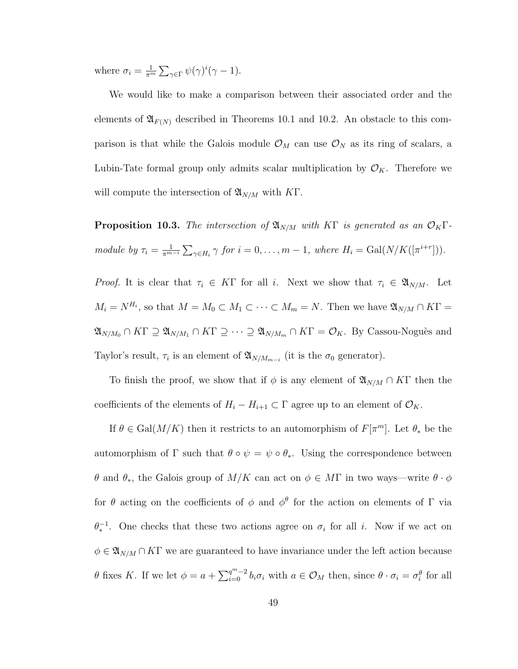where  $\sigma_i = \frac{1}{\pi^n}$  $\frac{1}{\pi^m} \sum_{\gamma \in \Gamma} \psi(\gamma)^i (\gamma - 1).$ 

We would like to make a comparison between their associated order and the elements of  $\mathfrak{A}_{F(N)}$  described in Theorems 10.1 and 10.2. An obstacle to this comparison is that while the Galois module  $\mathcal{O}_M$  can use  $\mathcal{O}_N$  as its ring of scalars, a Lubin-Tate formal group only admits scalar multiplication by  $\mathcal{O}_K$ . Therefore we will compute the intersection of  $\mathfrak{A}_{N/M}$  with KT.

**Proposition 10.3.** The intersection of  $\mathfrak{A}_{N/M}$  with KF is generated as an  $\mathcal{O}_K\Gamma$ module by  $\tau_i = \frac{1}{\pi^m}$  $\frac{1}{\pi^{m-i}}\sum_{\gamma\in H_i}\gamma$  for  $i=0,\ldots,m-1$ , where  $H_i=\text{Gal}(N/K([\pi^{i+r}]))$ .

*Proof.* It is clear that  $\tau_i \in K\Gamma$  for all i. Next we show that  $\tau_i \in \mathfrak{A}_{N/M}$ . Let  $M_i = N^{H_i}$ , so that  $M = M_0 \subset M_1 \subset \cdots \subset M_m = N$ . Then we have  $\mathfrak{A}_{N/M} \cap K\Gamma =$  $\mathfrak{A}_{N/M_0} \cap K\Gamma \supseteq \mathfrak{A}_{N/M_1} \cap K\Gamma \supseteq \cdots \supseteq \mathfrak{A}_{N/M_m} \cap K\Gamma = \mathcal{O}_K$ . By Cassou-Noguès and Taylor's result,  $\tau_i$  is an element of  $\mathfrak{A}_{N/M_{m-i}}$  (it is the  $\sigma_0$  generator).

To finish the proof, we show that if  $\phi$  is any element of  $\mathfrak{A}_{N/M} \cap K\Gamma$  then the coefficients of the elements of  $H_i - H_{i+1} \subset \Gamma$  agree up to an element of  $\mathcal{O}_K$ .

If  $\theta \in \text{Gal}(M/K)$  then it restricts to an automorphism of  $F[\pi^m]$ . Let  $\theta_*$  be the automorphism of  $\Gamma$  such that  $\theta \circ \psi = \psi \circ \theta_*$ . Using the correspondence between θ and θ<sub>∗</sub>, the Galois group of  $M/K$  can act on  $φ ∈ MΓ$  in two ways—write  $θ · φ$ for  $\theta$  acting on the coefficients of  $\phi$  and  $\phi^{\theta}$  for the action on elements of  $\Gamma$  via  $\theta_*^{-1}$ . One checks that these two actions agree on  $\sigma_i$  for all i. Now if we act on  $\phi \in \mathfrak{A}_{N/M} \cap K\Gamma$  we are guaranteed to have invariance under the left action because θ fixes K. If we let  $φ = a + \sum_{i=0}^{q^m-2} b_i σ_i$  with  $a ∈ \mathcal{O}_M$  then, since  $θ · σ_i = σ_i^θ$  for all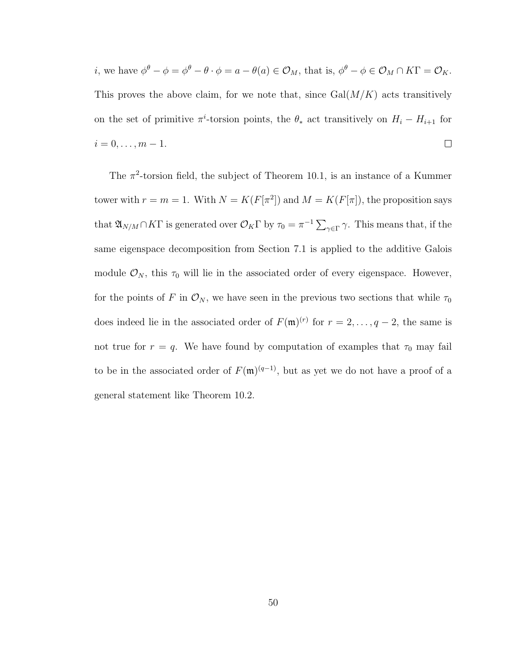*i*, we have  $\phi^{\theta} - \phi = \phi^{\theta} - \theta \cdot \phi = a - \theta(a) \in \mathcal{O}_M$ , that is,  $\phi^{\theta} - \phi \in \mathcal{O}_M \cap K\Gamma = \mathcal{O}_K$ . This proves the above claim, for we note that, since  $Gal(M/K)$  acts transitively on the set of primitive  $\pi^i$ -torsion points, the  $\theta_*$  act transitively on  $H_i - H_{i+1}$  for  $i = 0, \ldots, m - 1.$  $\Box$ 

The  $\pi^2$ -torsion field, the subject of Theorem 10.1, is an instance of a Kummer tower with  $r = m = 1$ . With  $N = K(F[\pi^2])$  and  $M = K(F[\pi])$ , the proposition says that  $\mathfrak{A}_{N/M} \cap K\Gamma$  is generated over  $\mathcal{O}_K\Gamma$  by  $\tau_0 = \pi^{-1} \sum_{\gamma \in \Gamma} \gamma$ . This means that, if the same eigenspace decomposition from Section 7.1 is applied to the additive Galois module  $\mathcal{O}_N$ , this  $\tau_0$  will lie in the associated order of every eigenspace. However, for the points of F in  $\mathcal{O}_N$ , we have seen in the previous two sections that while  $\tau_0$ does indeed lie in the associated order of  $F(\mathfrak{m})^{(r)}$  for  $r = 2, \ldots, q-2$ , the same is not true for  $r = q$ . We have found by computation of examples that  $\tau_0$  may fail to be in the associated order of  $F(\mathfrak{m})^{(q-1)}$ , but as yet we do not have a proof of a general statement like Theorem 10.2.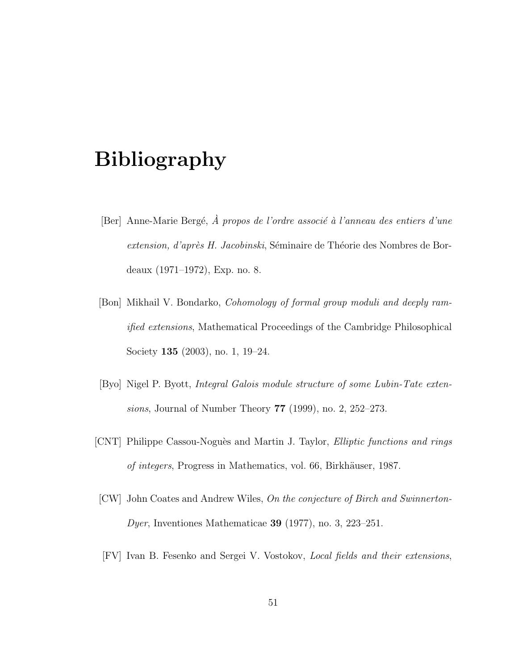### Bibliography

- [Ber] Anne-Marie Bergé,  $\hat{A}$  propos de l'ordre associé à l'anneau des entiers d'une extension, d'après H. Jacobinski, Séminaire de Théorie des Nombres de Bordeaux (1971–1972), Exp. no. 8.
- [Bon] Mikhail V. Bondarko, Cohomology of formal group moduli and deeply ramified extensions, Mathematical Proceedings of the Cambridge Philosophical Society 135 (2003), no. 1, 19–24.
- [Byo] Nigel P. Byott, Integral Galois module structure of some Lubin-Tate extensions, Journal of Number Theory 77 (1999), no. 2, 252–273.
- [CNT] Philippe Cassou-Nogu`es and Martin J. Taylor, Elliptic functions and rings of integers, Progress in Mathematics, vol. 66, Birkhäuser, 1987.
- [CW] John Coates and Andrew Wiles, On the conjecture of Birch and Swinnerton-Dyer, Inventiones Mathematicae 39 (1977), no. 3, 223–251.
- [FV] Ivan B. Fesenko and Sergei V. Vostokov, Local fields and their extensions,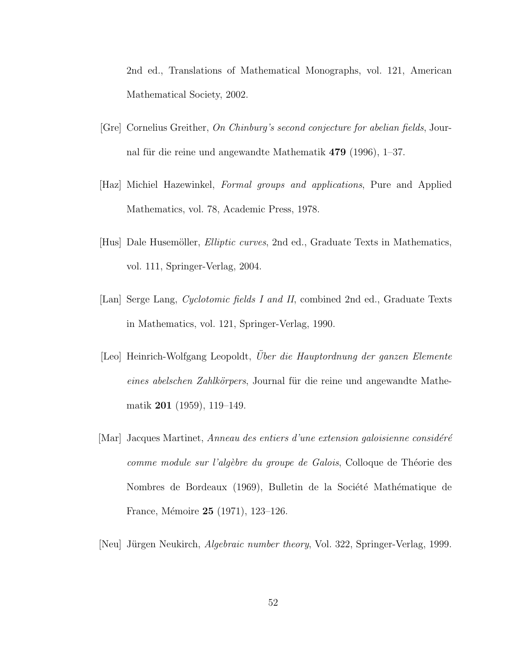2nd ed., Translations of Mathematical Monographs, vol. 121, American Mathematical Society, 2002.

- [Gre] Cornelius Greither, On Chinburg's second conjecture for abelian fields, Journal für die reine und angewandte Mathematik  $479$  (1996), 1–37.
- [Haz] Michiel Hazewinkel, Formal groups and applications, Pure and Applied Mathematics, vol. 78, Academic Press, 1978.
- [Hus] Dale Husemöller, *Elliptic curves*, 2nd ed., Graduate Texts in Mathematics, vol. 111, Springer-Verlag, 2004.
- [Lan] Serge Lang, Cyclotomic fields I and II, combined 2nd ed., Graduate Texts in Mathematics, vol. 121, Springer-Verlag, 1990.
- [Leo] Heinrich-Wolfgang Leopoldt, Über die Hauptordnung der ganzen Elemente eines abelschen Zahlkörpers, Journal für die reine und angewandte Mathematik 201 (1959), 119–149.
- [Mar] Jacques Martinet, Anneau des entiers d'une extension galoisienne considéré comme module sur l'algèbre du groupe de Galois, Colloque de Théorie des Nombres de Bordeaux (1969), Bulletin de la Société Mathématique de France, Mémoire 25 (1971), 123-126.
- [Neu] Jürgen Neukirch, *Algebraic number theory*, Vol. 322, Springer-Verlag, 1999.